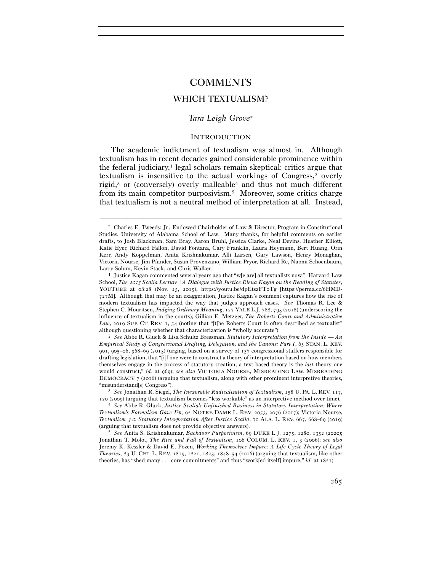# COMMENTS

# WHICH TEXTUALISM?

## *Tara Leigh Grove*<sup>∗</sup>

### **INTRODUCTION**

The academic indictment of textualism was almost in. Although textualism has in recent decades gained considerable prominence within the federal judiciary, $\frac{1}{1}$  legal scholars remain skeptical: critics argue that textualism is insensitive to the actual workings of Congress,2 overly rigid,<sup>3</sup> or (conversely) overly malleable<sup>4</sup> and thus not much different from its main competitor purposivism.5 Moreover, some critics charge that textualism is not a neutral method of interpretation at all. Instead,

–––––––––––––––––––––––––––––––––––––––––––––––––––––––––––––

*Empirical Study of Congressional Drafting, Delegation, and the Canons: Part I*, 65 STAN. L. REV. 901, 905–06, 968–69 (2013) (urging, based on a survey of 137 congressional staffers responsible for drafting legislation, that "[i]f one were to construct a theory of interpretation based on how members themselves engage in the process of statutory creation, a text-based theory is the *last* theory one would construct," *id.* at 969); *see also* VICTORIA NOURSE, MISREADING LAW, MISREADING DEMOCRACY  $7 \text{ (2016)}$  (arguing that textualism, along with other prominent interpretive theories, "misunderstand[s] Congress"). 3 *See* Jonathan R. Siegel, *The Inexorable Radicalization of Textualism*, 158 U. PA. L. REV. 117,

<sup>120</sup> (<sup>2009</sup>) (arguing that textualism becomes "less workable" as an interpretive method over time). 4 *See* Abbe R. Gluck, *Justice Scalia's Unfinished Business in Statutory Interpretation: Where* 

*Textualism's Formalism Gave Up*, 92 NOTRE DAME L. REV. 2053, 2076 (2017); Victoria Nourse, *Textualism* 3*.*0*: Statutory Interpretation After Justice Scalia*, 70 ALA. L. REV. 667, 668–69 (2019) (arguing that textualism does not provide objective answers). 5 *See* Anita S. Krishnakumar, *Backdoor Purposivism*, 69 DUKE L.J. 1275, 1280, 1352 (2020);

Jonathan T. Molot, *The Rise and Fall of Textualism*, 106 COLUM. L. REV. 1, 3 (2006); *see also* Jeremy K. Kessler & David E. Pozen, *Working Themselves Impure: A Life Cycle Theory of Legal Theories*, 83 U. CHI. L. REV. 1819, 1821, 1823, 1848–54 (2016) (arguing that textualism, like other theories, has "shed many . . . core commitments" and thus "work[ed itself] impure," *id.* at 1821).

<sup>∗</sup> Charles E. Tweedy, Jr., Endowed Chairholder of Law & Director, Program in Constitutional Studies, University of Alabama School of Law. Many thanks, for helpful comments on earlier drafts, to Josh Blackman, Sam Bray, Aaron Bruhl, Jessica Clarke, Neal Devins, Heather Elliott, Katie Eyer, Richard Fallon, David Fontana, Cary Franklin, Laura Heymann, Bert Huang, Orin Kerr, Andy Koppelman, Anita Krishnakumar, Alli Larsen, Gary Lawson, Henry Monaghan, Victoria Nourse, Jim Pfander, Susan Provenzano, William Pryor, Richard Re, Naomi Schoenbaum, Larry Solum, Kevin Stack, and Chris Walker. 1 Justice Kagan commented several years ago that "w[e are] all textualists now." Harvard Law

School, *The* 2015 *Scalia Lecture | A Dialogue with Justice Elena Kagan on the Reading of Statutes*, YOUTUBE at 08:28 (Nov. 25, 2015), https://youtu.be/dpEtszFT0Tg [https://perma.cc/6HMD-727M]. Although that may be an exaggeration, Justice Kagan's comment captures how the rise of modern textualism has impacted the way that judges approach cases. *See* Thomas R. Lee & Stephen C. Mouritsen, *Judging Ordinary Meaning*, 127 YALE L.J. 788, 793 (2018) (underscoring the influence of textualism in the courts); Gillian E. Metzger, *The Roberts Court and Administrative*  Law, 2019 SUP. CT. REV. 1, 54 (noting that "[t]he Roberts Court is often described as textualist" although questioning whether that characterization is "wholly accurate"). 2 *See* Abbe R. Gluck & Lisa Schultz Bressman, *Statutory Interpretation from the Inside — An*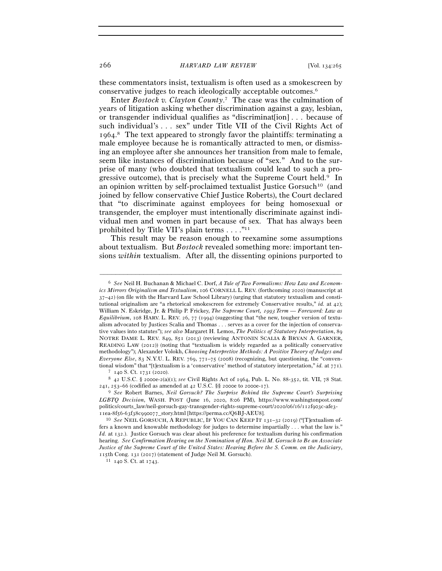these commentators insist, textualism is often used as a smokescreen by conservative judges to reach ideologically acceptable outcomes.6

Enter *Bostock v. Clayton County*. 7 The case was the culmination of years of litigation asking whether discrimination against a gay, lesbian, or transgender individual qualifies as "discrimination]... because of such individual's . . . sex" under Title VII of the Civil Rights Act of 1964. 8 The text appeared to strongly favor the plaintiffs: terminating a male employee because he is romantically attracted to men, or dismissing an employee after she announces her transition from male to female, seem like instances of discrimination because of "sex." And to the surprise of many (who doubted that textualism could lead to such a progressive outcome), that is precisely what the Supreme Court held.9 In an opinion written by self-proclaimed textualist Justice Gorsuch10 (and joined by fellow conservative Chief Justice Roberts), the Court declared that "to discriminate against employees for being homosexual or transgender, the employer must intentionally discriminate against individual men and women in part because of sex. That has always been prohibited by Title VII's plain terms  $\dots$ ."<sup>11</sup>

This result may be reason enough to reexamine some assumptions about textualism. But *Bostock* revealed something more: important tensions *within* textualism. After all, the dissenting opinions purported to

<sup>6</sup> *See* Neil H. Buchanan & Michael C. Dorf, *A Tale of Two Formalisms: How Law and Economics Mirrors Originalism and Textualism*, 106 CORNELL L. REV. (forthcoming 2020) (manuscript at  $37-42$ ) (on file with the Harvard Law School Library) (urging that statutory textualism and constitutional originalism are "a rhetorical smokescreen for extremely Conservative results," *id.* at 42); William N. Eskridge, Jr. & Philip P. Frickey, *The Supreme Court,* 1993 *Term — Foreword: Law as Equilibrium*, 108 HARV. L. REV. 26, 77 (1994) (suggesting that "the new, tougher version of textualism advocated by Justices Scalia and Thomas . . . serves as a cover for the injection of conservative values into statutes"); *see also* Margaret H. Lemos, *The Politics of Statutory Interpretation*, 89 NOTRE DAME L. REV. 849, 851 (2013) (reviewing ANTONIN SCALIA & BRYAN A. GARNER, READING LAW (2012)) (noting that "textualism is widely regarded as a politically conservative methodology"); Alexander Volokh, *Choosing Interpretive Methods: A Positive Theory of Judges and Everyone Else*, 83 N.Y.U. L. REV. 769, 771–75 (2008) (recognizing, but questioning, the "conventional wisdom" that "[t]<br>extualism is a 'conservative' method of statutory interpretation," id. at<br> $771$ .  $^{7}$  140 S. Ct. 1731 (2020). <br>  $^{8}$  42 U.S.C. § 2000e-2(a)(1); see Civil Rights Act of 1964, Pub. L. No. 88-352,

<sup>241</sup>, 253–66 (codified as amended at 42 U.S.C. §§ 2000e to 2000e-<sup>17</sup>). 9 *See* Robert Barnes, *Neil Gorsuch? The Surprise Behind the Supreme Court's Surprising LGBTQ Decision*, WASH. POST (June 16, 2020, 8:06 PM), https://www.washingtonpost.com/ politics/courts\_law/neil-gorsuch-gay-transgender-rights-supreme-court/2020/06/16/112f903c-afe3-

<sup>11</sup>ea-8f56-63f38c990077\_story.html [https://perma.cc/Q6BJ-AEU<sup>8</sup>]. 10 *See* NEIL GORSUCH, A REPUBLIC, IF YOU CAN KEEP IT <sup>131</sup>–32 (2019) ("[T]extualism offers a known and knowable methodology for judges to determine impartially . . . what the law is." *Id.* at 132.). Justice Gorsuch was clear about his preference for textualism during his confirmation hearing. *See Confirmation Hearing on the Nomination of Hon. Neil M. Gorsuch to Be an Associate Justice of the Supreme Court of the United States: Hearing Before the S. Comm. on the Judiciary*, 115th Cong. 131 (2017) (statement of Judge Neil M. Gorsuch). <sup>11</sup> 140 S. Ct. at 1743.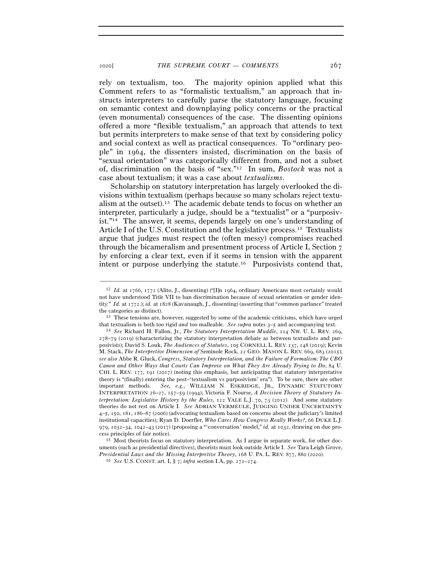rely on textualism, too. The majority opinion applied what this Comment refers to as "formalistic textualism," an approach that instructs interpreters to carefully parse the statutory language, focusing on semantic context and downplaying policy concerns or the practical (even monumental) consequences of the case. The dissenting opinions offered a more "flexible textualism," an approach that attends to text but permits interpreters to make sense of that text by considering policy and social context as well as practical consequences. To "ordinary people" in 1964, the dissenters insisted, discrimination on the basis of "sexual orientation" was categorically different from, and not a subset of, discrimination on the basis of "sex."12 In sum, *Bostock* was not a case about textualism; it was a case about *textualisms*.

Scholarship on statutory interpretation has largely overlooked the divisions within textualism (perhaps because so many scholars reject textualism at the outset).<sup>13</sup> The academic debate tends to focus on whether an interpreter, particularly a judge, should be a "textualist" or a "purposivist."14 The answer, it seems, depends largely on one's understanding of Article I of the U.S. Constitution and the legislative process.15 Textualists argue that judges must respect the (often messy) compromises reached through the bicameralism and presentment process of Article I, Section 7 by enforcing a clear text, even if it seems in tension with the apparent intent or purpose underlying the statute.16 Purposivists contend that,

<sup>12</sup> *Id.* at 1766, 1772 (Alito, J., dissenting) ("[I]n 1964, ordinary Americans most certainly would not have understood Title VII to ban discrimination because of sexual orientation or gender identity." *Id.* at 1772.); *id.* at 1828 (Kavanaugh, J., dissenting) (asserting that "common parlance" treated the categories as distinct). 13 These tensions are, however, suggested by some of the academic criticisms, which have urged

that textualism is both too rigid *and* too malleable. *See supra* notes 3–<sup>5</sup> and accompanying text. 14 *See* Richard H. Fallon, Jr., *The Statutory Interpretation Muddle*, 114 NW. U. L. REV. 269,

<sup>278</sup>–79 (2019) (characterizing the statutory interpretation debate as between textualists and purposivists); David S. Louk, *The Audiences of Statutes*, 105 CORNELL L. REV. 137, 148 (2019); Kevin M. Stack, *The Interpretive Dimension of* Seminole Rock, 22 GEO. MASON L. REV. 669, 683 (2015); *see also* Abbe R. Gluck, *Congress, Statutory Interpretation, and the Failure of Formalism: The CBO Canon and Other Ways that Courts Can Improve on What They Are Already Trying to Do*, 84 U. CHI. L. REV. 177, 191 (2017) (noting this emphasis, but anticipating that statutory interpretative theory is "(finally) entering the post–'textualism vs purposivism' era"). To be sure, there are other important methods. *See, e.g.*, WILLIAM N. ESKRIDGE, JR., DYNAMIC STATUTORY INTERPRETATION 26–27, 157–59 (1994); Victoria F. Nourse, *A Decision Theory of Statutory Interpretation: Legislative History by the Rules*, 122 YALE L.J. 70, 73 (2012). And some statutory theories do not rest on Article I. *See* ADRIAN VERMEULE, JUDGING UNDER UNCERTAINTY 4–5, 150, 181, 186–87 (2006) (advocating textualism based on concerns about the judiciary's limited institutional capacities); Ryan D. Doerfler, *Who Cares How Congress Really Works?*, 66 DUKE L.J. 979, 1032–34, 1042–43 (2017) (proposing a "'conversation' model," *id.* at 1032, drawing on due pro-

cess principles of fair notice). 15 Most theorists focus on statutory interpretation. As I argue in separate work, for other documents (such as presidential directives), theorists must look outside Article I. *See* Tara Leigh Grove, *Presidential Laws and the Missing Interpretive Theory*, 168 U. PA. L. REV. 877, 880 (<sup>2020</sup>). 16 *See* U.S. CONST. art. I, § 7; *infra* section I.A, pp. 272–274.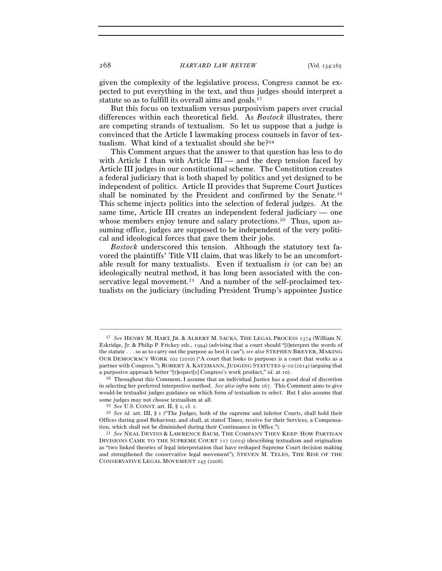given the complexity of the legislative process, Congress cannot be expected to put everything in the text, and thus judges should interpret a statute so as to fulfill its overall aims and goals.<sup>17</sup>

But this focus on textualism versus purposivism papers over crucial differences within each theoretical field. As *Bostock* illustrates, there are competing strands of textualism. So let us suppose that a judge is convinced that the Article I lawmaking process counsels in favor of textualism. What kind of a textualist should she be?18

This Comment argues that the answer to that question has less to do with Article I than with Article  $III$  — and the deep tension faced by Article III judges in our constitutional scheme. The Constitution creates a federal judiciary that is both shaped by politics and yet designed to be independent of politics. Article II provides that Supreme Court Justices shall be nominated by the President and confirmed by the Senate.19 This scheme injects politics into the selection of federal judges. At the same time, Article III creates an independent federal judiciary — one whose members enjoy tenure and salary protections.<sup>20</sup> Thus, upon assuming office, judges are supposed to be independent of the very political and ideological forces that gave them their jobs.

*Bostock* underscored this tension. Although the statutory text favored the plaintiffs' Title VII claim, that was likely to be an uncomfortable result for many textualists. Even if textualism *is* (or can be) an ideologically neutral method, it has long been associated with the conservative legal movement.<sup>21</sup> And a number of the self-proclaimed textualists on the judiciary (including President Trump's appointee Justice

<sup>17</sup> *See* HENRY M. HART, JR. & ALBERT M. SACKS, THE LEGAL PROCESS 1374 (William N. Eskridge, Jr. & Philip P. Frickey eds., 1994) (advising that a court should "[i]nterpret the words of the statute . . . so as to carry out the purpose as best it can"); *see also* STEPHEN BREYER, MAKING OUR DEMOCRACY WORK 102 (2010) ("A court that looks to purposes is a court that works as a partner with Congress."); ROBERT A. KATZMANN, JUDGING STATUTES 9–10 (2014) (arguing that a purposive approach better "[r]espect[s] Congress's work product," *id.* at <sup>10</sup>). 18 Throughout this Comment, I assume that an individual Justice has a good deal of discretion

in selecting her preferred interpretive method. *See also infra* note 167. This Comment aims to give would-be textualist judges guidance on which form of textualism to select. But I also assume that some judges may not choose textualism at all.<br><sup>19</sup> *See* U.S. CONST. art. II, § 2, cl. 2.<br><sup>20</sup> *See id.* art. III, § 1 ("The Judges, both of the supreme and inferior Courts, shall hold their

Offices during good Behaviour, and shall, at stated Times, receive for their Services, a Compensation, which shall not be diminished during their Continuance in Office.").

<sup>&</sup>lt;sup>21</sup> See NEAL DEVINS & LAWRENCE BAUM, THE COMPANY THEY KEEP: HOW PARTISAN DIVISIONS CAME TO THE SUPREME COURT 117 (2019) (describing textualism and originalism as "two linked theories of legal interpretation that have reshaped Supreme Court decision making and strengthened the conservative legal movement"); STEVEN M. TELES, THE RISE OF THE CONSERVATIVE LEGAL MOVEMENT 145 (2008).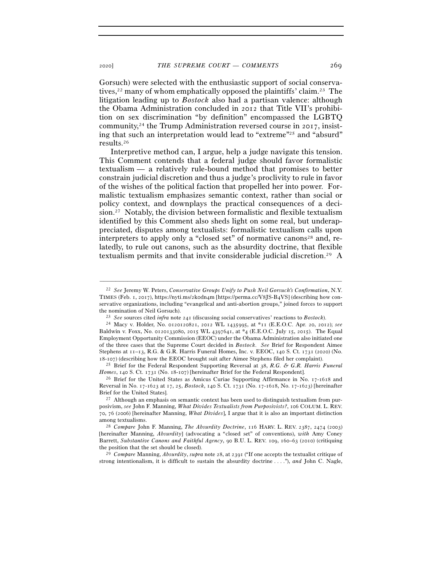Gorsuch) were selected with the enthusiastic support of social conservatives,22 many of whom emphatically opposed the plaintiffs' claim.23 The litigation leading up to *Bostock* also had a partisan valence: although the Obama Administration concluded in 2012 that Title VII's prohibition on sex discrimination "by definition" encompassed the LGBTQ community,<sup>24</sup> the Trump Administration reversed course in 2017, insisting that such an interpretation would lead to "extreme"25 and "absurd" results.26

Interpretive method can, I argue, help a judge navigate this tension. This Comment contends that a federal judge should favor formalistic textualism — a relatively rule-bound method that promises to better constrain judicial discretion and thus a judge's proclivity to rule in favor of the wishes of the political faction that propelled her into power. Formalistic textualism emphasizes semantic context, rather than social or policy context, and downplays the practical consequences of a decision.<sup>27</sup> Notably, the division between formalistic and flexible textualism identified by this Comment also sheds light on some real, but underappreciated, disputes among textualists: formalistic textualism calls upon interpreters to apply only a "closed set" of normative canons<sup>28</sup> and, relatedly, to rule out canons, such as the absurdity doctrine, that flexible textualism permits and that invite considerable judicial discretion.29 A

<sup>22</sup> *See* Jeremy W. Peters, *Conservative Groups Unify to Push Neil Gorsuch's Confirmation*, N.Y. TIMES (Feb. 1, 2017), https://nyti.ms/2k0dn4m [https://perma.cc/V8JS-B4VS] (describing how conservative organizations, including "evangelical and anti-abortion groups," joined forces to support the nomination of Neil Gorsuch).<br>
<sup>23</sup> See sources cited *infra* note 241 (discussing social conservatives' reactions to Bostock).<br>
<sup>24</sup> Macy v. Holder, No. 0120120821, 2012 WL 1435995, at \*11 (E.E.O.C. Apr. 20, 2012); see

Baldwin v. Foxx, No. 0120133080, 2015 WL 4397641, at \*4 (E.E.O.C. July 15, 2015). The Equal Employment Opportunity Commission (EEOC) under the Obama Administration also initiated one of the three cases that the Supreme Court decided in *Bostock*. *See* Brief for Respondent Aimee Stephens at 11–13, R.G. & G.R. Harris Funeral Homes, Inc. v. EEOC, 140 S. Ct. 1731 (2020) (No.

<sup>18</sup>-<sup>107</sup>) (describing how the EEOC brought suit after Aimee Stephens filed her complaint). 25 Brief for the Federal Respondent Supporting Reversal at <sup>38</sup>, *R.G. & G.R. Harris Funeral Homes*, 140 S. Ct. 1731 (No. 18-107) [hereinafter Brief for the Federal Respondent].<br><sup>26</sup> Brief for the United States as Amicus Curiae Supporting Affirmance in No. 17-1618 and

Reversal in No. 17-1623 at 17, 25, *Bostock*, 140 S. Ct. 1731 (No. 17-1618, No. 17-1623) [hereinafter Brief for the United States].<br><sup>27</sup> Although an emphasis on semantic context has been used to distinguish textualism from pur-

posivism, *see* John F. Manning, *What Divides Textualists from Purposivists?*, 106 COLUM. L. REV. 70, 76 (2006) [hereinafter Manning, *What Divides*], I argue that it is also an important distinction among textualisms. 28 *Compare* John F. Manning, *The Absurdity Doctrine*, 116 HARV. L. REV. <sup>2387</sup>, 2474 (2003)

<sup>[</sup>hereinafter Manning, *Absurdity*] (advocating a "closed set" of conventions), *with* Amy Coney Barrett, *Substantive Canons and Faithful Agency*, 90 B.U. L. REV. 109, 160–63 (2010) (critiquing the position that the set should be closed). 29 *Compare* Manning, *Absurdity*, *supra* note 28, at 2391 ("If one accepts the textualist critique of

strong intentionalism, it is difficult to sustain the absurdity doctrine . . . ."), *and* John C. Nagle,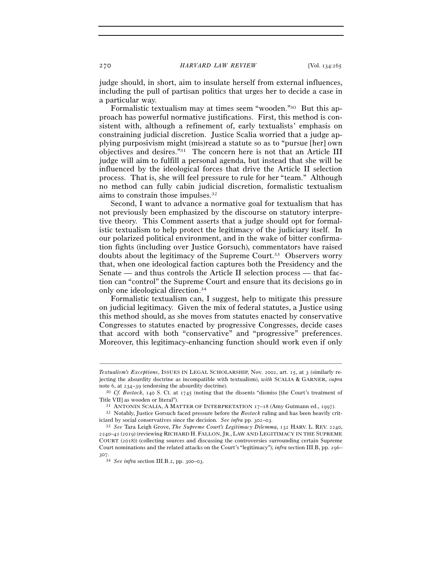judge should, in short, aim to insulate herself from external influences, including the pull of partisan politics that urges her to decide a case in a particular way.

Formalistic textualism may at times seem "wooden."30 But this approach has powerful normative justifications. First, this method is consistent with, although a refinement of, early textualists' emphasis on constraining judicial discretion. Justice Scalia worried that a judge applying purposivism might (mis)read a statute so as to "pursue [her] own objectives and desires."31 The concern here is not that an Article III judge will aim to fulfill a personal agenda, but instead that she will be influenced by the ideological forces that drive the Article II selection process. That is, she will feel pressure to rule for her "team." Although no method can fully cabin judicial discretion, formalistic textualism aims to constrain those impulses.32

Second, I want to advance a normative goal for textualism that has not previously been emphasized by the discourse on statutory interpretive theory. This Comment asserts that a judge should opt for formalistic textualism to help protect the legitimacy of the judiciary itself. In our polarized political environment, and in the wake of bitter confirmation fights (including over Justice Gorsuch), commentators have raised doubts about the legitimacy of the Supreme Court.33 Observers worry that, when one ideological faction captures both the Presidency and the Senate — and thus controls the Article II selection process — that faction can "control" the Supreme Court and ensure that its decisions go in only one ideological direction.34

Formalistic textualism can, I suggest, help to mitigate this pressure on judicial legitimacy. Given the mix of federal statutes, a Justice using this method should, as she moves from statutes enacted by conservative Congresses to statutes enacted by progressive Congresses, decide cases that accord with both "conservative" and "progressive" preferences. Moreover, this legitimacy-enhancing function should work even if only

*Textualism's Exceptions*, ISSUES IN LEGAL SCHOLARSHIP, Nov. 2002, art. 15, at 3 (similarly rejecting the absurdity doctrine as incompatible with textualism), *with* SCALIA & GARNER, *supra* note 6, at 234–<sup>39</sup> (endorsing the absurdity doctrine). 30 *Cf. Bostock*, 140 S. Ct. at 1745 (noting that the dissents "dismiss [the Court's treatment of

Title VII] as wooden or literal").<br><sup>31</sup> ANTONIN SCALIA, A MATTER OF INTERPRETATION 17–18 (Amy Gutmann ed., 1997).<br><sup>32</sup> Notably, Justice Gorsuch faced pressure before the *Bostock* ruling and has been heavily crit-

icized by social conservatives since the decision. *See infra* pp. 302–03.

<sup>33</sup> *See* Tara Leigh Grove, *The Supreme Court's Legitimacy Dilemma*, 132 HARV. L. REV. 2240, 2240–42 (2019) (reviewing RICHARD H. FALLON, JR., LAW AND LEGITIMACY IN THE SUPREME COURT (2018)) (collecting sources and discussing the controversies surrounding certain Supreme Court nominations and the related attacks on the Court's "legitimacy"); *infra* section III.B, pp. 296– 307.

<sup>34</sup> *See infra* section III.B.2, pp. 300–03.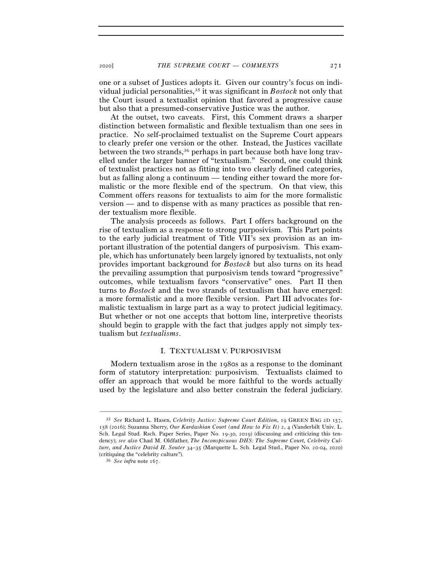one or a subset of Justices adopts it. Given our country's focus on individual judicial personalities,35 it was significant in *Bostock* not only that the Court issued a textualist opinion that favored a progressive cause but also that a presumed-conservative Justice was the author.

At the outset, two caveats. First, this Comment draws a sharper distinction between formalistic and flexible textualism than one sees in practice. No self-proclaimed textualist on the Supreme Court appears to clearly prefer one version or the other. Instead, the Justices vacillate between the two strands,36 perhaps in part because both have long travelled under the larger banner of "textualism." Second, one could think of textualist practices not as fitting into two clearly defined categories, but as falling along a continuum — tending either toward the more formalistic or the more flexible end of the spectrum. On that view, this Comment offers reasons for textualists to aim for the more formalistic version — and to dispense with as many practices as possible that render textualism more flexible.

The analysis proceeds as follows. Part I offers background on the rise of textualism as a response to strong purposivism. This Part points to the early judicial treatment of Title VII's sex provision as an important illustration of the potential dangers of purposivism. This example, which has unfortunately been largely ignored by textualists, not only provides important background for *Bostock* but also turns on its head the prevailing assumption that purposivism tends toward "progressive" outcomes, while textualism favors "conservative" ones. Part II then turns to *Bostock* and the two strands of textualism that have emerged: a more formalistic and a more flexible version. Part III advocates formalistic textualism in large part as a way to protect judicial legitimacy. But whether or not one accepts that bottom line, interpretive theorists should begin to grapple with the fact that judges apply not simply textualism but *textualisms*.

### I. TEXTUALISM V. PURPOSIVISM

Modern textualism arose in the 1980s as a response to the dominant form of statutory interpretation: purposivism. Textualists claimed to offer an approach that would be more faithful to the words actually used by the legislature and also better constrain the federal judiciary.

<sup>35</sup> *See* Richard L. Hasen, *Celebrity Justice: Supreme Court Edition*, 19 GREEN BAG 2D 157, 158 (2016); Suzanna Sherry, *Our Kardashian Court (and How to Fix It)* 2, 4 (Vanderbilt Univ. L. Sch. Legal Stud. Rsch. Paper Series, Paper No. 19-30, 2019) (discussing and criticizing this tendency); *see also* Chad M. Oldfather, *The Inconspicuous DHS: The Supreme Court, Celebrity Culture, and Justice David H. Souter* 34–35 (Marquette L. Sch. Legal Stud., Paper No. 20-04, 2020) (critiquing the "celebrity culture"). 36 *See infra* note 167.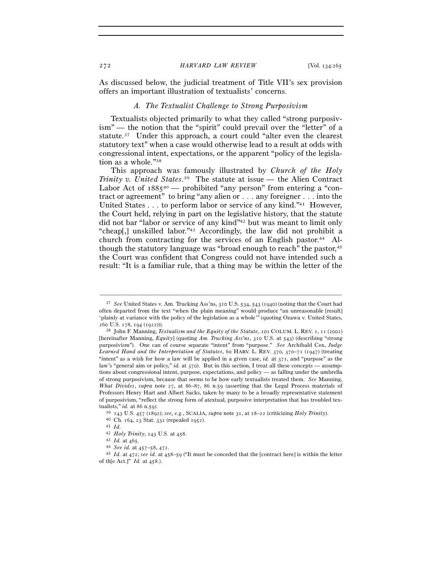As discussed below, the judicial treatment of Title VII's sex provision offers an important illustration of textualists' concerns.

### *A. The Textualist Challenge to Strong Purposivism*

Textualists objected primarily to what they called "strong purposivism" — the notion that the "spirit" could prevail over the "letter" of a statute.37 Under this approach, a court could "alter even the clearest statutory text" when a case would otherwise lead to a result at odds with congressional intent, expectations, or the apparent "policy of the legislation as a whole."38

This approach was famously illustrated by *Church of the Holy Trinity v. United States*. 39 The statute at issue — the Alien Contract Labor Act of  $1885^{40}$  — prohibited "any person" from entering a "contract or agreement" to bring "any alien or . . . any foreigner . . . into the United States . . . to perform labor or service of any kind."41 However, the Court held, relying in part on the legislative history, that the statute did not bar "labor or service of any kind"42 but was meant to limit only "cheap[,] unskilled labor."43 Accordingly, the law did not prohibit a church from contracting for the services of an English pastor.<sup>44</sup> Although the statutory language was "broad enough to reach" the pastor,<sup>45</sup> the Court was confident that Congress could not have intended such a result: "It is a familiar rule, that a thing may be within the letter of the

<sup>37</sup> *See* United States v. Am. Trucking Ass'ns, 310 U.S. 534, 543 (1940) (noting that the Court had often departed from the text "when the plain meaning" would produce "an unreasonable [result] 'plainly at variance with the policy of the legislation as a whole'" (quoting Ozawa v. United States, <sup>260</sup> U.S. 178, 194 (<sup>1922</sup>))). 38 John F. Manning, *Textualism and the Equity of the Statute*, 101 COLUM. L. REV. 1, 11 (2001)

<sup>[</sup>hereinafter Manning, *Equity*] (quoting *Am. Trucking Ass'ns*, 310 U.S. at 543) (describing "strong purposivism"). One can of course separate "intent" from "purpose." *See* Archibald Cox, *Judge Learned Hand and the Interpretation of Statutes*, 60 HARV. L. REV. 370, 370–71 (1947) (treating "intent" as a wish for how a law will be applied in a given case, *id.* at 371, and "purpose" as the law's "general aim or policy," *id.* at 370). But in this section, I treat all these concepts — assumptions about congressional intent, purpose, expectations, and policy — as falling under the umbrella of strong purposivism, because that seems to be how early textualists treated them. *See* Manning, *What Divides*, *supra* note 27, at 86–87, 86 n.59 (asserting that the Legal Process materials of Professors Henry Hart and Albert Sacks, taken by many to be a broadly representative statement of purposivism, "reflect the strong form of atextual, purposive interpretation that has troubled tex-

tualists," *id.* at 86 n.59).<br><sup>39</sup> 143 U.S. 457 (1892); *see, e.g.*, SCALIA, *supra* note 31, at 18–22 (criticizing *Holy Trinity*).<br><sup>40</sup> Ch. 164, 23 Stat. 332 (repealed 1952).<br><sup>41</sup> *Id.*<br><sup>42</sup> *Holy Trinity*, 143 U.S. at 4

<sup>42</sup> *Holy Trinity*, 143 U.S. at <sup>458</sup>. 43 *Id.* at <sup>465</sup>. 44 *See id.* at 457–58, <sup>472</sup>. 45 *Id.* at 472; *see id.* at 458–59 ("It must be conceded that the [contract here] is within the letter of th[e Act.]" *Id.* at 458.).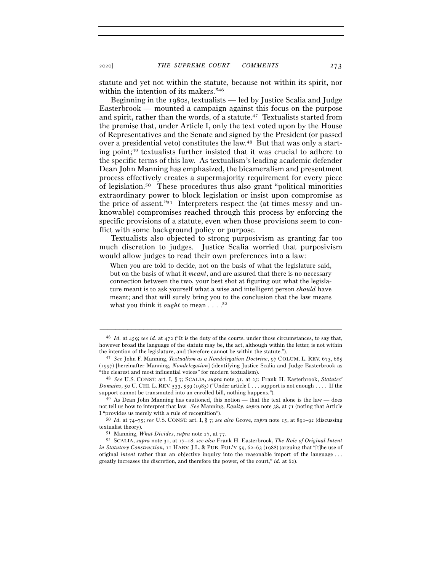statute and yet not within the statute, because not within its spirit, nor within the intention of its makers."<sup>46</sup>

Beginning in the 1980s, textualists — led by Justice Scalia and Judge Easterbrook — mounted a campaign against this focus on the purpose and spirit, rather than the words, of a statute.<sup>47</sup> Textualists started from the premise that, under Article I, only the text voted upon by the House of Representatives and the Senate and signed by the President (or passed over a presidential veto) constitutes the law.48 But that was only a starting point;49 textualists further insisted that it was crucial to adhere to the specific terms of this law. As textualism's leading academic defender Dean John Manning has emphasized, the bicameralism and presentment process effectively creates a supermajority requirement for every piece of legislation.50 These procedures thus also grant "political minorities extraordinary power to block legislation or insist upon compromise as the price of assent."51 Interpreters respect the (at times messy and unknowable) compromises reached through this process by enforcing the specific provisions of a statute, even when those provisions seem to conflict with some background policy or purpose.

Textualists also objected to strong purposivism as granting far too much discretion to judges. Justice Scalia worried that purposivism would allow judges to read their own preferences into a law:

When you are told to decide, not on the basis of what the legislature said, but on the basis of what it *meant*, and are assured that there is no necessary connection between the two, your best shot at figuring out what the legislature meant is to ask yourself what a wise and intelligent person *should* have meant; and that will surely bring you to the conclusion that the law means what you think it *ought* to mean . . . .<sup>52</sup>

<sup>46</sup> *Id.* at 459; *see id.* at 472 ("It is the duty of the courts, under those circumstances, to say that, however broad the language of the statute may be, the act, although within the letter, is not within the intention of the legislature, and therefore cannot be within the statute."). 47 *See* John F. Manning, *Textualism as a Nondelegation Doctrine*, 97 COLUM. L. REV. 673, <sup>685</sup>

<sup>(</sup>1997) [hereinafter Manning, *Nondelegation*] (identifying Justice Scalia and Judge Easterbrook as "the clearest and most influential voices" for modern textualism). 48 *See* U.S. CONST. art. I, § 7; SCALIA, *supra* note 31, at 25; Frank H. Easterbrook, *Statutes'* 

*Domains*, 50 U. CHI. L. REV. 533, 539 (1983) ("Under article I . . . support is not enough . . . . If the support cannot be transmuted into an enrolled bill, nothing happens.").<br><sup>49</sup> As Dean John Manning has cautioned, this notion — that the text alone is the law — does

not tell us how to interpret that law. *See* Manning, *Equity*, *supra* note 38, at 71 (noting that Article I "provides us merely with a rule of recognition"). 50 *Id.* at 74–75; *see* U.S. CONST. art. I, § 7; *see also* Grove, *supra* note 15, at 891–92 (discussing

textualist theory). 51 Manning, *What Divides*, *supra* note 27, at <sup>77</sup>. 52 SCALIA, *supra* note 31, at 17–18; *see also* Frank H. Easterbrook, *The Role of Original Intent* 

*in Statutory Construction*, 11 HARV. J.L. & PUB. POL'Y 59, 62–63 (1988) (arguing that "[t]he use of original *intent* rather than an objective inquiry into the reasonable import of the language . . . greatly increases the discretion, and therefore the power, of the court," *id.* at 62).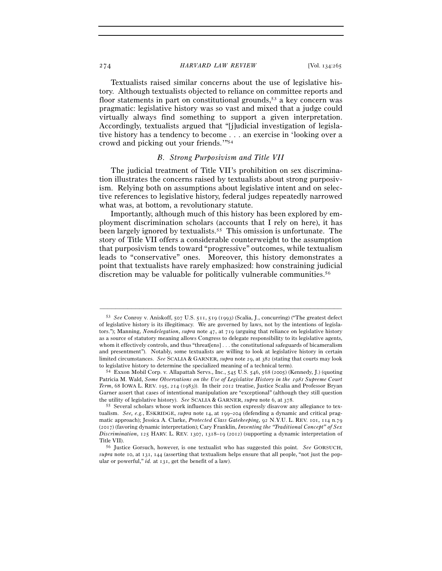### 274 *HARVARD LAW REVIEW* [Vol. 134:<sup>265</sup>

Textualists raised similar concerns about the use of legislative history. Although textualists objected to reliance on committee reports and floor statements in part on constitutional grounds,<sup>53</sup> a key concern was pragmatic: legislative history was so vast and mixed that a judge could virtually always find something to support a given interpretation. Accordingly, textualists argued that "[j]udicial investigation of legislative history has a tendency to become . . . an exercise in 'looking over a crowd and picking out your friends.'"54

### *B. Strong Purposivism and Title VII*

The judicial treatment of Title VII's prohibition on sex discrimination illustrates the concerns raised by textualists about strong purposivism. Relying both on assumptions about legislative intent and on selective references to legislative history, federal judges repeatedly narrowed what was, at bottom, a revolutionary statute.

Importantly, although much of this history has been explored by employment discrimination scholars (accounts that I rely on here), it has been largely ignored by textualists.55 This omission is unfortunate. The story of Title VII offers a considerable counterweight to the assumption that purposivism tends toward "progressive" outcomes, while textualism leads to "conservative" ones. Moreover, this history demonstrates a point that textualists have rarely emphasized: how constraining judicial discretion may be valuable for politically vulnerable communities.<sup>56</sup>

<sup>53</sup> *See* Conroy v. Aniskoff, 507 U.S. 511, 519 (1993) (Scalia, J., concurring) ("The greatest defect of legislative history is its illegitimacy. We are governed by laws, not by the intentions of legislators."); Manning, *Nondelegation*, *supra* note 47, at 719 (arguing that reliance on legislative history as a source of statutory meaning allows Congress to delegate responsibility to its legislative agents, whom it effectively controls, and thus "threat[ens] . . . the constitutional safeguards of bicameralism and presentment"). Notably, some textualists are willing to look at legislative history in certain limited circumstances. *See* SCALIA & GARNER, *supra* note 29, at 382 (stating that courts may look to legislative history to determine the specialized meaning of a technical term). 54 Exxon Mobil Corp. v. Allapattah Servs., Inc., 545 U.S. 546, 568 (2005) (Kennedy, J.) (quoting

Patricia M. Wald, *Some Observations on the Use of Legislative History in the 1981 Supreme Court Term*, 68 IOWA L. REV. 195, 214 (1983)). In their 2012 treatise, Justice Scalia and Professor Bryan Garner assert that cases of intentional manipulation are "exceptional" (although they still question the utility of legislative history). *See* SCALIA & GARNER, *supra* note 6, at 378.<br><sup>55</sup> Several scholars whose work influences this section expressly disavow any allegiance to tex-

tualism. *See, e.g.*, ESKRIDGE, *supra* note 14, at 199–204 (defending a dynamic and critical pragmatic approach); Jessica A. Clarke, *Protected Class Gatekeeping*, 92 N.Y.U. L. REV. 101, 114 n.79 (2017) (favoring dynamic interpretation); Cary Franklin, *Inventing the "Traditional Concept" of Sex Discrimination*, 125 HARV. L. REV. 1307, 1318–19 (2012) (supporting a dynamic interpretation of Title VII). 56 Justice Gorsuch, however, is one textualist who has suggested this point. *See* GORSUCH,

*supra* note 10, at 131, 144 (asserting that textualism helps ensure that all people, "not just the popular or powerful," *id.* at 131, get the benefit of a law).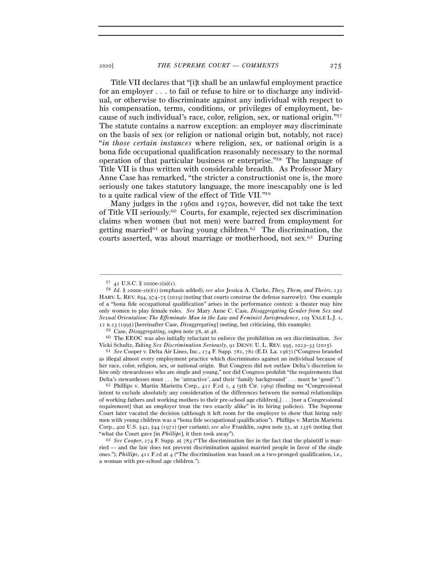Title VII declares that "[i]t shall be an unlawful employment practice for an employer . . . to fail or refuse to hire or to discharge any individual, or otherwise to discriminate against any individual with respect to his compensation, terms, conditions, or privileges of employment, because of such individual's race, color, religion, sex, or national origin."57 The statute contains a narrow exception: an employer *may* discriminate on the basis of sex (or religion or national origin but, notably, not race) "*in those certain instances* where religion, sex, or national origin is a bona fide occupational qualification reasonably necessary to the normal operation of that particular business or enterprise."58 The language of Title VII is thus written with considerable breadth. As Professor Mary Anne Case has remarked, "the stricter a constructionist one is, the more seriously one takes statutory language, the more inescapably one is led to a quite radical view of the effect of Title VII."59

Many judges in the 1960s and 1970s, however, did not take the text of Title VII seriously.60 Courts, for example, rejected sex discrimination claims when women (but not men) were barred from employment for getting married<sup>61</sup> or having young children.<sup>62</sup> The discrimination, the courts asserted, was about marriage or motherhood, not sex.63 During

<sup>57</sup> <sup>42</sup> U.S.C. § 2000e-2(a)(<sup>1</sup>). 58 *Id.* § 2000e-2(e)(1) (emphasis added); *see also* Jessica A. Clarke, *They, Them, and Theirs*, <sup>132</sup> HARV. L. REV. 894, 974–75 (2019) (noting that courts construe the defense narrowly). One example of a "bona fide occupational qualification" arises in the performance context: a theater may hire only women to play female roles. *See* Mary Anne C. Case, *Disaggregating Gender from Sex and Sexual Orientation: The Effeminate Man in the Law and Feminist Jurisprudence*, 105 YALE L.J. 1, 12 n.23 (1995) [hereinafter Case, *Disaggregating*] (noting, but criticizing, this example).

<sup>59</sup> Case, *Disaggregating*, *supra* note 58, at <sup>48</sup>. 60 The EEOC was also initially reluctant to enforce the prohibition on sex discrimination. *See* Vicki Schultz, *Taking Sex Discrimination Seriously*, 91 DENV. U. L. REV. 995, 1023–33 (<sup>2015</sup>). 61 *See* Cooper v. Delta Air Lines, Inc., 274 F. Supp. 781, 782 (E.D. La. 1967) ("Congress branded

as illegal almost every employment practice which discriminates against an individual because of her race, color, religion, sex, or national origin. But Congress did not outlaw Delta's discretion to hire only stewardesses who are single and young," nor did Congress prohibit "the requirements that Delta's stewardesses must . . . be 'attractive', and their 'family background' . . . must be 'good'."). 62 Phillips v. Martin Marietta Corp., 411 F.2d 1, 4 (5th Cir. 1969) (finding no "Congressional"

intent to exclude absolutely any consideration of the differences between the normal relationships of working fathers and working mothers to their pre-school age children[,] . . . [nor a Congressional requirement] that an employer treat the two exactly alike" in its hiring policies). The Supreme Court later vacated the decision (although it left room for the employer to show that hiring only men with young children was a "bona fide occupational qualification"). Phillips v. Martin Marietta Corp., 400 U.S. 542, 544 (1971) (per curiam); *see also* Franklin, *supra* note 55, at 1356 (noting that "what the Court gave [in *Phillips*], it then took away"). 63 *See Cooper*, 274 F. Supp. at 783 ("The discrimination lies in the fact that the plaintiff is mar-

ried — and the law does not prevent discrimination against married people in favor of the single ones."); *Phillips*, 411 F.2d at 4 ("The discrimination was based on a two-pronged qualification, i.e., a woman with pre-school age children.").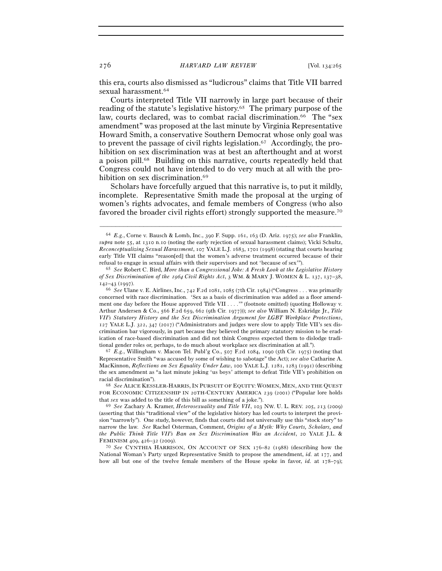this era, courts also dismissed as "ludicrous" claims that Title VII barred sexual harassment.<sup>64</sup>

Courts interpreted Title VII narrowly in large part because of their reading of the statute's legislative history.65 The primary purpose of the law, courts declared, was to combat racial discrimination.<sup>66</sup> The "sex" amendment" was proposed at the last minute by Virginia Representative Howard Smith, a conservative Southern Democrat whose only goal was to prevent the passage of civil rights legislation.67 Accordingly, the prohibition on sex discrimination was at best an afterthought and at worst a poison pill.68 Building on this narrative, courts repeatedly held that Congress could not have intended to do very much at all with the prohibition on sex discrimination.<sup>69</sup>

Scholars have forcefully argued that this narrative is, to put it mildly, incomplete. Representative Smith made the proposal at the urging of women's rights advocates, and female members of Congress (who also favored the broader civil rights effort) strongly supported the measure.70

–––––––––––––––––––––––––––––––––––––––––––––––––––––––––––––

Representative Smith "was accused by some of wishing to sabotage" the Act); *see also* Catharine A. MacKinnon, *Reflections on Sex Equality Under Law*, 100 YALE L.J. 1281, 1283 (1991) (describing the sex amendment as "a last minute joking 'us boys' attempt to defeat Title VII's prohibition on racial discrimination"). 68 *See* ALICE KESSLER-HARRIS, IN PURSUIT OF EQUITY: WOMEN, MEN, AND THE QUEST

FOR ECONOMIC CITIZENSHIP IN 20TH-CENTURY AMERICA 239 (2001) ("Popular lore holds that *sex* was added to the title of this bill as something of a joke."). 69 *See* Zachary A. Kramer, *Heterosexuality and Title VII*, 103 NW. U. L. REV. 205, 213 (2009)

National Woman's Party urged Representative Smith to propose the amendment, *id.* at 177, and how all but one of the twelve female members of the House spoke in favor, *id.* at 178–79);

<sup>64</sup> *E.g.*, Corne v. Bausch & Lomb, Inc., 390 F. Supp. 161, 163 (D. Ariz. 1975); *see also* Franklin, *supra* note 55, at 1310 n.10 (noting the early rejection of sexual harassment claims); Vicki Schultz, *Reconceptualizing Sexual Harassment*, 107 YALE L.J. 1683, 1701 (1998) (stating that courts hearing early Title VII claims "reason[ed] that the women's adverse treatment occurred because of their refusal to engage in sexual affairs with their supervisors and not 'because of sex'"). 65 *See* Robert C. Bird, *More than a Congressional Joke: A Fresh Look at the Legislative History* 

*of Sex Discrimination of the* 1964 *Civil Rights Act*, 3 WM. & MARY J. WOMEN & L. 137, 137–38, 142–43 (1997).

<sup>66</sup> *See* Ulane v. E. Airlines, Inc., 742 F.2d 1081, 1085 (7th Cir. 1984) ("Congress . . . was primarily concerned with race discrimination. 'Sex as a basis of discrimination was added as a floor amendment one day before the House approved Title VII . . . .'" (footnote omitted) (quoting Holloway v. Arthur Andersen & Co., 566 F.2d 659, 662 (9th Cir. 1977))); *see also* William N. Eskridge Jr., *Title VII's Statutory History and the Sex Discrimination Argument for LGBT Workplace Protections*, 127 YALE L.J. 322, 347 (2017) ("Administrators and judges were slow to apply Title VII's sex discrimination bar vigorously, in part because they believed the primary statutory mission to be eradication of race-based discrimination and did not think Congress expected them to dislodge traditional gender roles or, perhaps, to do much about workplace sex discrimination at all."). 67 *E.g.*, Willingham v. Macon Tel. Publ'g Co., 507 F.2d 1084, 1090 (5th Cir. 1975) (noting that

<sup>(</sup>asserting that this "traditional view" of the legislative history has led courts to interpret the provision "narrowly"). One study, however, finds that courts did not universally use this "stock story" to narrow the law. *See* Rachel Osterman, Comment, *Origins of a Myth: Why Courts, Scholars, and the Public Think Title VII's Ban on Sex Discrimination Was an Accident*, 20 YALE J.L. & FEMINISM <sup>409</sup>, 426–32 (<sup>2009</sup>). 70 *See* CYNTHIA HARRISON, ON ACCOUNT OF SEX <sup>176</sup>–82 (1988) (describing how the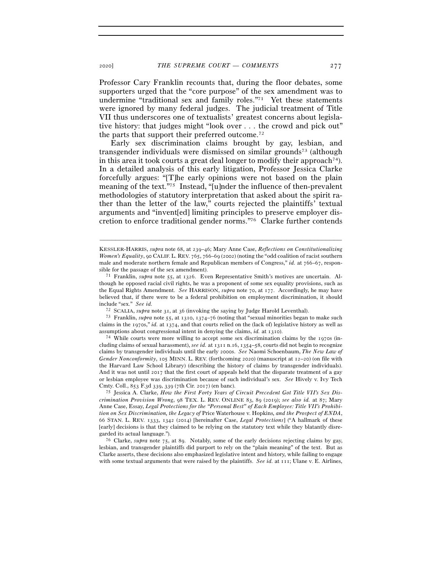Professor Cary Franklin recounts that, during the floor debates, some supporters urged that the "core purpose" of the sex amendment was to undermine "traditional sex and family roles."71 Yet these statements were ignored by many federal judges. The judicial treatment of Title VII thus underscores one of textualists' greatest concerns about legislative history: that judges might "look over . . . the crowd and pick out" the parts that support their preferred outcome.72

Early sex discrimination claims brought by gay, lesbian, and transgender individuals were dismissed on similar grounds73 (although in this area it took courts a great deal longer to modify their approach<sup>74</sup>). In a detailed analysis of this early litigation, Professor Jessica Clarke forcefully argues: "[T]he early opinions were not based on the plain meaning of the text."75 Instead, "[u]nder the influence of then-prevalent methodologies of statutory interpretation that asked about the spirit rather than the letter of the law," courts rejected the plaintiffs' textual arguments and "invent[ed] limiting principles to preserve employer discretion to enforce traditional gender norms."76 Clarke further contends

–––––––––––––––––––––––––––––––––––––––––––––––––––––––––––––

cluding claims of sexual harassment), *see id.* at 1311 n.16, 1354–58, courts did not begin to recognize claims by transgender individuals until the early 2000s. *See* Naomi Schoenbaum, *The New Law of Gender Nonconformity*, 105 MINN. L. REV. (forthcoming 2020) (manuscript at 12–20) (on file with the Harvard Law School Library) (describing the history of claims by transgender individuals). And it was not until 2017 that the first court of appeals held that the disparate treatment of a gay or lesbian employee was discrimination because of such individual's sex. *See* Hively v. Ivy Tech Cmty. Coll., 853 F.3d 339, 339 (7th Cir. <sup>2017</sup>) (en banc). 75 Jessica A. Clarke, *How the First Forty Years of Circuit Precedent Got Title VII's Sex Dis-*

*crimination Provision Wrong*, 98 TEX. L. REV. ONLINE 83, 89 (2019); *see also id.* at 87; Mary Anne Case, Essay, *Legal Protections for the "Personal Best" of Each Employee: Title VII's Prohibition on Sex Discrimination, the Legacy of* Price Waterhouse v. Hopkins*, and the Prospect of ENDA*, 66 STAN. L. REV. 1333, 1342 (2014) [hereinafter Case, *Legal Protections*] ("A hallmark of these [early] decisions is that they claimed to be relying on the statutory text while they blatantly disregarded its actual language."). 76 Clarke, *supra* note 75, at 89. Notably, some of the early decisions rejecting claims by gay,

lesbian, and transgender plaintiffs did purport to rely on the "plain meaning" of the text. But as Clarke asserts, these decisions also emphasized legislative intent and history, while failing to engage with some textual arguments that were raised by the plaintiffs. *See id.* at 111; Ulane v. E. Airlines,

KESSLER-HARRIS, *supra* note 68, at 239–46; Mary Anne Case, *Reflections on Constitutionalizing Women's Equality*, 90 CALIF. L. REV. 765, 766–69 (2002) (noting the "odd coalition of racist southern male and moderate northern female and Republican members of Congress," *id.* at 766–67, responsible for the passage of the sex amendment). 71 Franklin, *supra* note 55, at 1326. Even Representative Smith's motives are uncertain. Al-

though he opposed racial civil rights, he was a proponent of some sex equality provisions, such as the Equal Rights Amendment. *See* HARRISON, *supra* note 70, at 177. Accordingly, he may have believed that, if there were to be a federal prohibition on employment discrimination, it should include "sex." *See id.*

<sup>72</sup> SCALIA, *supra* note 31, at <sup>36</sup> (invoking the saying by Judge Harold Leventhal). 73 Franklin, *supra* note 55, at 1310, 1374–76 (noting that "sexual minorities began to make such claims in the 1970s," *id.* at 1374, and that courts relied on the (lack of) legislative history as well as assumptions about congressional intent in denying the claims, *id.* at 1310).<br><sup>74</sup> While courts were more willing to accept some sex discrimination claims by the 1970s (in-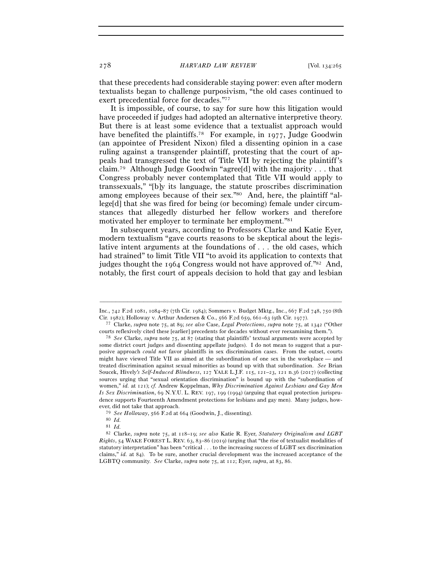that these precedents had considerable staying power: even after modern textualists began to challenge purposivism, "the old cases continued to exert precedential force for decades."77

It is impossible, of course, to say for sure how this litigation would have proceeded if judges had adopted an alternative interpretive theory. But there is at least some evidence that a textualist approach would have benefited the plaintiffs.<sup>78</sup> For example, in 1977, Judge Goodwin (an appointee of President Nixon) filed a dissenting opinion in a case ruling against a transgender plaintiff, protesting that the court of appeals had transgressed the text of Title VII by rejecting the plaintiff's claim.79 Although Judge Goodwin "agree[d] with the majority . . . that Congress probably never contemplated that Title VII would apply to transsexuals," "[b]y its language, the statute proscribes discrimination among employees because of their sex."80 And, here, the plaintiff "allege[d] that she was fired for being (or becoming) female under circumstances that allegedly disturbed her fellow workers and therefore motivated her employer to terminate her employment."81

In subsequent years, according to Professors Clarke and Katie Eyer, modern textualism "gave courts reasons to be skeptical about the legislative intent arguments at the foundations of . . . the old cases, which had strained" to limit Title VII "to avoid its application to contexts that judges thought the 1964 Congress would not have approved of."82 And, notably, the first court of appeals decision to hold that gay and lesbian

<sup>–––––––––––––––––––––––––––––––––––––––––––––––––––––––––––––</sup> Inc., 742 F.2d 1081, 1084–87 (7th Cir. 1984); Sommers v. Budget Mktg., Inc., 667 F.2d 748, 750 (8th Cir. 1982); Holloway v. Arthur Andersen & Co., 566 F.2d 659, 661–63 (9th Cir. <sup>1977</sup>). 77 Clarke, *supra* note 75, at 89; *see also* Case, *Legal Protections*, *supra* note 75, at 1342 ("Other

courts reflexively cited these [earlier] precedents for decades without ever reexamining them."). 78 *See* Clarke, *supra* note 75, at 87 (stating that plaintiffs' textual arguments were accepted by

some district court judges and dissenting appellate judges). I do not mean to suggest that a purposive approach *could not* favor plaintiffs in sex discrimination cases. From the outset, courts might have viewed Title VII as aimed at the subordination of one sex in the workplace — and treated discrimination against sexual minorities as bound up with that subordination. *See* Brian Soucek, Hively*'s Self-Induced Blindness*, 127 YALE L.J.F. 115, 121–23, 121 n.36 (2017) (collecting sources urging that "sexual orientation discrimination" is bound up with the "subordination of women," *id.* at 121); *cf.* Andrew Koppelman, *Why Discrimination Against Lesbians and Gay Men Is Sex Discrimination*, 69 N.Y.U. L. REV. 197, 199 (1994) (arguing that equal protection jurisprudence supports Fourteenth Amendment protections for lesbians and gay men). Many judges, however, did not take that approach.

<sup>79</sup> *See Holloway*, 566 F.2d at <sup>664</sup> (Goodwin, J., dissenting). 80 *Id.*

<sup>81</sup> *Id.*

<sup>82</sup> Clarke, *supra* note 75, at 118–19; *see also* Katie R. Eyer, *Statutory Originalism and LGBT Rights*, 54 WAKE FOREST L. REV. 63, 83–86 (2019) (urging that "the rise of textualist modalities of statutory interpretation" has been "critical . . . to the increasing success of LGBT sex discrimination claims," *id.* at 84). To be sure, another crucial development was the increased acceptance of the LGBTQ community. *See* Clarke, *supra* note 75, at 112; Eyer, *supra*, at 83, 86.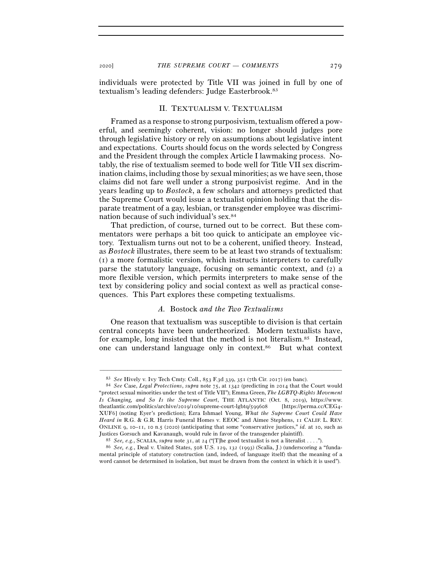individuals were protected by Title VII was joined in full by one of textualism's leading defenders: Judge Easterbrook.83

### II. TEXTUALISM V. TEXTUALISM

Framed as a response to strong purposivism, textualism offered a powerful, and seemingly coherent, vision: no longer should judges pore through legislative history or rely on assumptions about legislative intent and expectations. Courts should focus on the words selected by Congress and the President through the complex Article I lawmaking process. Notably, the rise of textualism seemed to bode well for Title VII sex discrimination claims, including those by sexual minorities; as we have seen, those claims did not fare well under a strong purposivist regime. And in the years leading up to *Bostock*, a few scholars and attorneys predicted that the Supreme Court would issue a textualist opinion holding that the disparate treatment of a gay, lesbian, or transgender employee was discrimination because of such individual's sex.84

That prediction, of course, turned out to be correct. But these commentators were perhaps a bit too quick to anticipate an employee victory. Textualism turns out not to be a coherent, unified theory. Instead, as *Bostock* illustrates, there seem to be at least two strands of textualism: (1) a more formalistic version, which instructs interpreters to carefully parse the statutory language, focusing on semantic context, and (2) a more flexible version, which permits interpreters to make sense of the text by considering policy and social context as well as practical consequences. This Part explores these competing textualisms.

## *A.* Bostock *and the Two Textualisms*

One reason that textualism was susceptible to division is that certain central concepts have been undertheorized. Modern textualists have, for example, long insisted that the method is not literalism.<sup>85</sup> Instead, one can understand language only in context.86 But what context

<sup>83</sup> *See* Hively v. Ivy Tech Cmty. Coll., 853 F.3d 339, 351 (7th Cir. <sup>2017</sup>) (en banc). 84 *See* Case, *Legal Protections*, *supra* note 75, at 1342 (predicting in 2014 that the Court would "protect sexual minorities under the text of Title VII"); Emma Green, *The LGBTQ-Rights Movement Is Changing, and So Is the Supreme Court*, THE ATLANTIC (Oct. 8, 2019), https://www. theatlantic.com/politics/archive/2019/10/supreme-court-lgbtq/599608 [https://perma.cc/CEG4- XUF6] (noting Eyer's prediction); Ezra Ishmael Young, *What the Supreme Court Could Have Heard in* R.G. & G.R. Harris Funeral Homes v. EEOC and Aimee Stephens, 11 CALIF. L. REV. ONLINE 9, 10–11, 10 n.5 (2020) (anticipating that some "conservative justices," *id.* at 10, such as Justices Gorsuch and Kavanaugh, would rule in favor of the transgender plaintiff).<br><sup>85</sup> *See*, *e.g.*, SCALIA, *supra* note 31, at 24 ("[T]he good textualist is not a literalist . . . .").<br><sup>86</sup> *See*, *e.g.*, Deal v. Unit

mental principle of statutory construction (and, indeed, of language itself) that the meaning of a word cannot be determined in isolation, but must be drawn from the context in which it is used").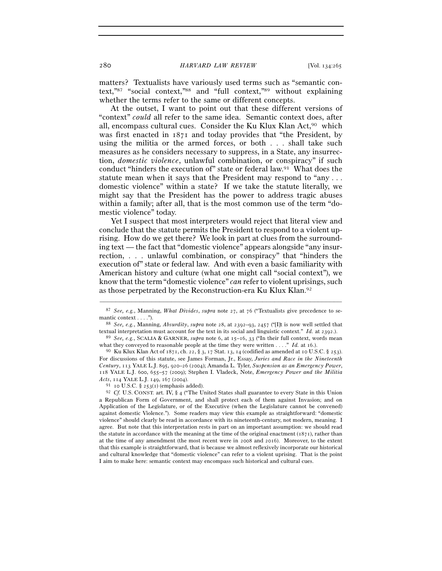matters? Textualists have variously used terms such as "semantic context,"87 "social context,"88 and "full context,"89 without explaining whether the terms refer to the same or different concepts.

At the outset, I want to point out that these different versions of "context" *could* all refer to the same idea. Semantic context does, after all, encompass cultural cues. Consider the Ku Klux Klan Act, $90$  which was first enacted in 1871 and today provides that "the President, by using the militia or the armed forces, or both . . . shall take such measures as he considers necessary to suppress, in a State, any insurrection, *domestic violence*, unlawful combination, or conspiracy" if such conduct "hinders the execution of" state or federal law.91 What does the statute mean when it says that the President may respond to "any . . . domestic violence" within a state? If we take the statute literally, we might say that the President has the power to address tragic abuses within a family; after all, that is the most common use of the term "domestic violence" today.

Yet I suspect that most interpreters would reject that literal view and conclude that the statute permits the President to respond to a violent uprising. How do we get there? We look in part at clues from the surrounding text — the fact that "domestic violence" appears alongside "any insurrection, . . . unlawful combination, or conspiracy" that "hinders the execution of" state or federal law. And with even a basic familiarity with American history and culture (what one might call "social context"), we know that the term "domestic violence" *can* refer to violent uprisings, such as those perpetrated by the Reconstruction-era Ku Klux Klan.92

<sup>–––––––––––––––––––––––––––––––––––––––––––––––––––––––––––––</sup> <sup>87</sup> *See, e.g.*, Manning, *What Divides*, *supra* note 27, at 76 ("Textualists give precedence to se-

mantic context . . . .").<br><sup>88</sup> *See, e.g.*, Manning, *Absurdity*, *supra* note 28, at 2392–93, 2457 ("[I]t is now well settled that textual interpretation must account for the text in its social and linguistic context." *Id.* at <sup>2392</sup>.). 89 *See, e.g.*, SCALIA & GARNER, *supra* note 6, at 15–16, 33 ("In their full context, words mean

what they conveyed to reasonable people at the time they were written . . . ." *Id.* at 16.). <sup>90</sup> Ku Klux Klan Act of 1871, ch. 22, § 3, 17 Stat. 13, 14 (codified as amended at 10 U.S.C. § 253).

For discussions of this statute, see James Forman, Jr., Essay, *Juries and Race in the Nineteenth Century*, 113 YALE L.J. 895, 920–26 (2004); Amanda L. Tyler, *Suspension as an Emergency Power*, 118 YALE L.J. 600, 655–57 (2009); Stephen I. Vladeck, Note, *Emergency Power and the Militia* 

*Acts*, 114 YALE L.J. 149, 167 (2004).  $\frac{91}{10}$  10 U.S.C. § 253(1) (emphasis added).  $\frac{92}{10}$  Cf. U.S. CONST. art. IV, § 4 ("The United States shall guarantee to every State in this Union a Republican Form of Government, and shall protect each of them against Invasion; and on Application of the Legislature, or of the Executive (when the Legislature cannot be convened) against domestic Violence."). Some readers may view this example as straightforward: "domestic violence" should clearly be read in accordance with its nineteenth-century, not modern, meaning. I agree. But note that this interpretation rests in part on an important assumption: we should read the statute in accordance with the meaning at the time of the original enactment ( $1871$ ), rather than at the time of any amendment (the most recent were in 2008 and 2016). Moreover, to the extent that this example is straightforward, that is because we almost reflexively incorporate our historical and cultural knowledge that "domestic violence" can refer to a violent uprising. That is the point I aim to make here: semantic context may encompass such historical and cultural cues.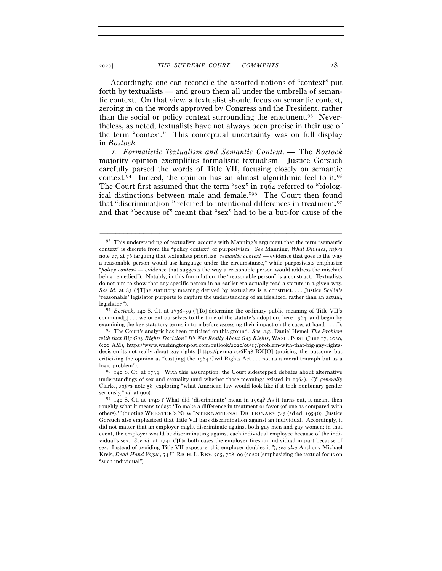Accordingly, one can reconcile the assorted notions of "context" put forth by textualists — and group them all under the umbrella of semantic context. On that view, a textualist should focus on semantic context, zeroing in on the words approved by Congress and the President, rather than the social or policy context surrounding the enactment.<sup>93</sup> Nevertheless, as noted, textualists have not always been precise in their use of the term "context." This conceptual uncertainty was on full display in *Bostock*.

<sup>1</sup>*. Formalistic Textualism and Semantic Context. —* The *Bostock* majority opinion exemplifies formalistic textualism. Justice Gorsuch carefully parsed the words of Title VII, focusing closely on semantic context.<sup>94</sup> Indeed, the opinion has an almost algorithmic feel to it.<sup>95</sup> The Court first assumed that the term "sex" in 1964 referred to "biological distinctions between male and female."96 The Court then found that "discrimination]" referred to intentional differences in treatment, <sup>97</sup> and that "because of" meant that "sex" had to be a but-for cause of the

 $93$  This understanding of textualism accords with Manning's argument that the term "semantic" context" is discrete from the "policy context" of purposivism. *See* Manning, *What Divides*, *supra* note 27, at 76 (arguing that textualists prioritize "*semantic context* — evidence that goes to the way a reasonable person would use language under the circumstance," while purposivists emphasize "*policy context* — evidence that suggests the way a reasonable person would address the mischief being remedied"). Notably, in this formulation, the "reasonable person" is a construct. Textualists do not aim to show that any specific person in an earlier era actually read a statute in a given way. *See id.* at 83 ("[T]he statutory meaning derived by textualists is a construct.... Justice Scalia's 'reasonable' legislator purports to capture the understanding of an idealized, rather than an actual, legislator."). 94 *Bostock*, 140 S. Ct. at 1738–39 ("[To] determine the ordinary public meaning of Title VII's

command[,] . . . we orient ourselves to the time of the statute's adoption, here 1964, and begin by examining the key statutory terms in turn before assessing their impact on the cases at hand . . . .").

<sup>95</sup> The Court's analysis has been criticized on this ground. *See, e.g.*, Daniel Hemel, *The Problem with that Big Gay Rights Decision? It's Not Really About Gay Rights*, WASH. POST (June 17, 2020, 6:00 AM), https://www.washingtonpost.com/outlook/2020/06/17/problem-with-that-big-gay-rightsdecision-its-not-really-about-gay-rights [https://perma.cc/6E48-BXJQ] (praising the outcome but criticizing the opinion as "cast[ing] the 1964 Civil Rights Act . . . not as a moral triumph but as a

logic problem"). 96 140 S. Ct. at 1739. With this assumption, the Court sidestepped debates about alternative understandings of sex and sexuality (and whether those meanings existed in 1964). *Cf. generally* Clarke, *supra* note 58 (exploring "what American law would look like if it took nonbinary gender seriously," *id.* at 900).

 $97$  140 S. Ct. at 1740 ("What did 'discriminate' mean in 1964? As it turns out, it meant then roughly what it means today: 'To make a difference in treatment or favor (of one as compared with others).'" (quoting WEBSTER'S NEW INTERNATIONAL DICTIONARY 745 (2d ed. 1954))). Justice Gorsuch also emphasized that Title VII bars discrimination against an individual. Accordingly, it did not matter that an employer might discriminate against both gay men and gay women; in that event, the employer would be discriminating against each individual employee because of the individual's sex. *See id.* at 1741 ("[I]n both cases the employer fires an individual in part because of sex. Instead of avoiding Title VII exposure, this employer doubles it."); *see also* Anthony Michael Kreis, *Dead Hand Vogue*, 54 U. RICH. L. REV. 705, 708–09 (2020) (emphasizing the textual focus on "such individual").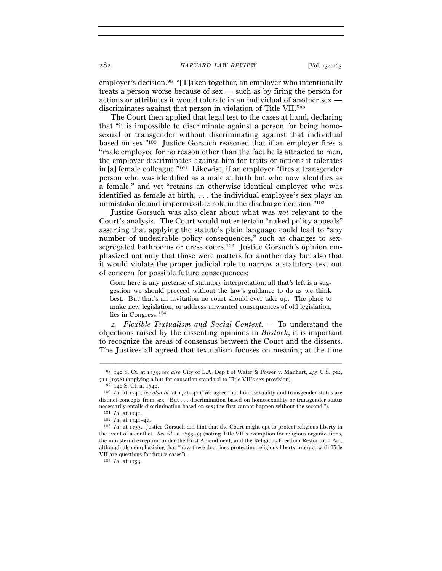282 *HARVARD LAW REVIEW* [Vol. 134:<sup>265</sup>

employer's decision.<sup>98</sup> "[T]aken together, an employer who intentionally treats a person worse because of sex — such as by firing the person for actions or attributes it would tolerate in an individual of another sex discriminates against that person in violation of Title VII."99

The Court then applied that legal test to the cases at hand, declaring that "it is impossible to discriminate against a person for being homosexual or transgender without discriminating against that individual based on sex."100 Justice Gorsuch reasoned that if an employer fires a "male employee for no reason other than the fact he is attracted to men, the employer discriminates against him for traits or actions it tolerates in [a] female colleague."101 Likewise, if an employer "fires a transgender person who was identified as a male at birth but who now identifies as a female," and yet "retains an otherwise identical employee who was identified as female at birth, . . . the individual employee's sex plays an unmistakable and impermissible role in the discharge decision."102

Justice Gorsuch was also clear about what was *not* relevant to the Court's analysis. The Court would not entertain "naked policy appeals" asserting that applying the statute's plain language could lead to "any number of undesirable policy consequences," such as changes to sexsegregated bathrooms or dress codes.<sup>103</sup> Justice Gorsuch's opinion emphasized not only that those were matters for another day but also that it would violate the proper judicial role to narrow a statutory text out of concern for possible future consequences:

Gone here is any pretense of statutory interpretation; all that's left is a suggestion we should proceed without the law's guidance to do as we think best. But that's an invitation no court should ever take up. The place to make new legislation, or address unwanted consequences of old legislation, lies in Congress.104

<sup>2</sup>*. Flexible Textualism and Social Context. —* To understand the objections raised by the dissenting opinions in *Bostock*, it is important to recognize the areas of consensus between the Court and the dissents. The Justices all agreed that textualism focuses on meaning at the time

<sup>104</sup> *Id.* at 1753.

<sup>–––––––––––––––––––––––––––––––––––––––––––––––––––––––––––––</sup> <sup>98</sup> 140 S. Ct. at 1739; *see also* City of L.A. Dep't of Water & Power v. Manhart, 435 U.S. 702,

<sup>&</sup>lt;sup>99</sup> 140 S. Ct. at 1740.<br><sup>100</sup> *Id.* at 1741; *see also id.* at 1746–47 ("We agree that homosexuality and transgender status are distinct concepts from sex. But . . . discrimination based on homosexuality or transgender status necessarily entails discrimination based on sex; the first cannot happen without the second.").

<sup>&</sup>lt;sup>101</sup> *Id.* at 1741.<br><sup>102</sup> *Id.* at 1741–42.<br><sup>103</sup> *Id.* at 1753. Justice Gorsuch did hint that the Court might opt to protect religious liberty in the event of a conflict. *See id.* at 1753–54 (noting Title VII's exemption for religious organizations, the ministerial exception under the First Amendment, and the Religious Freedom Restoration Act, although also emphasizing that "how these doctrines protecting religious liberty interact with Title VII are questions for future cases").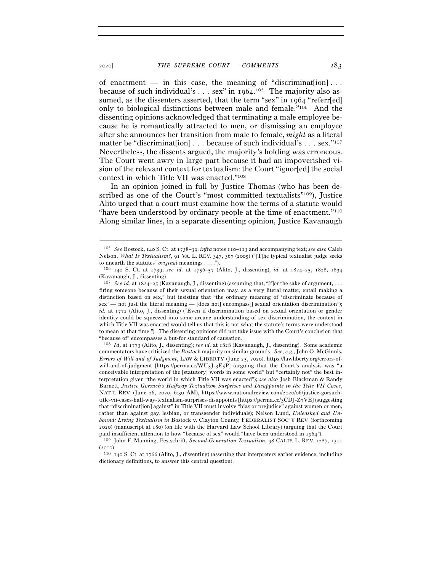of enactment — in this case, the meaning of "discrimination]... because of such individual's  $\ldots$  sex" in 1964.<sup>105</sup> The majority also assumed, as the dissenters asserted, that the term "sex" in 1964 "referr[ed] only to biological distinctions between male and female."106 And the dissenting opinions acknowledged that terminating a male employee because he is romantically attracted to men, or dismissing an employee after she announces her transition from male to female, *might* as a literal matter be "discriminat[ion] . . . because of such individual's . . . sex."<sup>107</sup> Nevertheless, the dissents argued, the majority's holding was erroneous. The Court went awry in large part because it had an impoverished vision of the relevant context for textualism: the Court "ignored" the social context in which Title VII was enacted."108

In an opinion joined in full by Justice Thomas (who has been described as one of the Court's "most committed textualists"109), Justice Alito urged that a court must examine how the terms of a statute would "have been understood by ordinary people at the time of enactment."110 Along similar lines, in a separate dissenting opinion, Justice Kavanaugh

–––––––––––––––––––––––––––––––––––––––––––––––––––––––––––––

<sup>108</sup> *Id*. at 1773 (Alito, J., dissenting); *see id.* at 1828 (Kavanaugh, J., dissenting). Some academic commentators have criticized the *Bostock* majority on similar grounds. *See, e.g.*, John O. McGinnis, *Errors of Will and of Judgment*, LAW & LIBERTY (June 25, 2020), https://lawliberty.org/errors-ofwill-and-of-judgment [https://perma.cc/WU3J-3E5P] (arguing that the Court's analysis was "a conceivable interpretation of the [statutory] words in some world" but "certainly not" the best interpretation given "the world in which Title VII was enacted"); *see also* Josh Blackman & Randy Barnett, *Justice Gorsuch's Halfway Textualism Surprises and Disappoints in the Title VII Cases*, NAT'L REV. (June 26, 2020, 6:30 AM), https://www.nationalreview.com/2020/06/justice-gorsuchtitle-vii-cases-half-way-textualism-surprises-disappoints [https://perma.cc/3CDJ-Z7VE] (suggesting that "discriminat[ion] against" in Title VII must involve "bias or prejudice" against women or men, rather than against gay, lesbian, or transgender individuals); Nelson Lund, *Unleashed and Unbound: Living Textualism in* Bostock v. Clayton County, FEDERALIST SOC'Y REV. (forthcoming 2020) (manuscript at 180) (on file with the Harvard Law School Library) (arguing that the Court paid insufficient attention to how "because of sex" would "have been understood in <sup>1964</sup>"). 109 John F. Manning, Festschrift, *Second-Generation Textualism*, 98 CALIF. L. REV. 1287, <sup>1311</sup>

<sup>105</sup> *See* Bostock, 140 S. Ct. at 1738–39; *infra* notes 110–113 and accompanying text; *see also* Caleb Nelson, *What Is Textualism?*, 91 VA. L. REV. 347, 367 (2005) ("[T]he typical textualist judge seeks to unearth the statutes' *original* meanings . . . ."). 106 <sup>140</sup> S. Ct. at 1739; *see id.* at 1756–57 (Alito, J., dissenting); *id.* at 1824–25, 1828, <sup>1834</sup>

<sup>(</sup>Kavanaugh, J., dissenting).

<sup>107</sup> *See id.* at 1824–25 (Kavanaugh, J., dissenting) (assuming that, "[f]or the sake of argument, . . . firing someone because of their sexual orientation may, as a very literal matter, entail making a distinction based on sex," but insisting that "the ordinary meaning of 'discriminate because of sex' — not just the literal meaning — [does not] encompass[] sexual orientation discrimination"); *id.* at 1772 (Alito, J., dissenting) ("Even if discrimination based on sexual orientation or gender identity could be squeezed into some arcane understanding of sex discrimination, the context in which Title VII was enacted would tell us that this is not what the statute's terms were understood to mean at that time."). The dissenting opinions did not take issue with the Court's conclusion that "because of" encompasses a but-for standard of causation.

<sup>(2010). 110</sup>  $_{140}$  S. Ct. at 1766 (Alito, J., dissenting) (asserting that interpreters gather evidence, including

dictionary definitions, to answer this central question).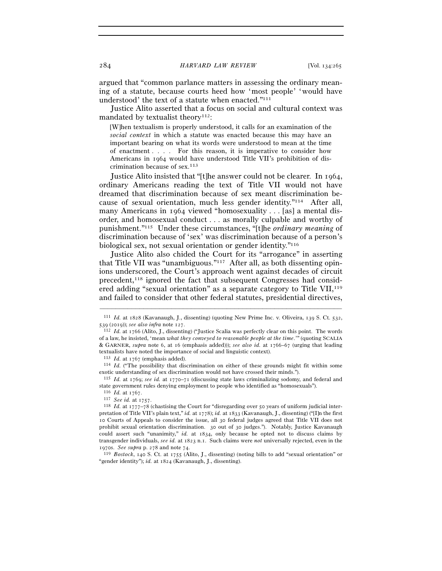argued that "common parlance matters in assessing the ordinary meaning of a statute, because courts heed how 'most people' 'would have understood' the text of a statute when enacted."111

Justice Alito asserted that a focus on social and cultural context was mandated by textualist theory<sup>112</sup>:

[W]hen textualism is properly understood, it calls for an examination of the *social context* in which a statute was enacted because this may have an important bearing on what its words were understood to mean at the time of enactment . . . . For this reason, it is imperative to consider how Americans in 1964 would have understood Title VII's prohibition of discrimination because of sex.113

Justice Alito insisted that "[t]he answer could not be clearer. In 1964, ordinary Americans reading the text of Title VII would not have dreamed that discrimination because of sex meant discrimination because of sexual orientation, much less gender identity."114 After all, many Americans in 1964 viewed "homosexuality . . . [as] a mental disorder, and homosexual conduct . . . as morally culpable and worthy of punishment."115 Under these circumstances, "[t]he *ordinary meaning* of discrimination because of 'sex' was discrimination because of a person's biological sex, not sexual orientation or gender identity."116

Justice Alito also chided the Court for its "arrogance" in asserting that Title VII was "unambiguous."117 After all, as both dissenting opinions underscored, the Court's approach went against decades of circuit precedent,118 ignored the fact that subsequent Congresses had considered adding "sexual orientation" as a separate category to Title VII,<sup>119</sup> and failed to consider that other federal statutes, presidential directives,

<sup>113</sup> *Id.* at <sup>1767</sup> (emphasis added). 114 *Id.* ("The possibility that discrimination on either of these grounds might fit within some exotic understanding of sex discrimination would not have crossed their minds.").

<sup>115</sup> *Id.* at 1769; *see id.* at 1770–71 (discussing state laws criminalizing sodomy, and federal and state government rules denying employment to people who identified as "homosexuals").  $^{116}\,$   $Id.$  at 1767.

"gender identity"); *id.* at 1824 (Kavanaugh, J., dissenting).

<sup>–––––––––––––––––––––––––––––––––––––––––––––––––––––––––––––</sup> <sup>111</sup> *Id.* at 1828 (Kavanaugh, J., dissenting) (quoting New Prime Inc. v. Oliveira, 139 S. Ct. 532, <sup>539</sup> (2019)); *see also infra* note <sup>127</sup>. 112 *Id.* at 1766 (Alito, J., dissenting) ("Justice Scalia was perfectly clear on this point. The words

of a law, he insisted, 'mean *what they conveyed to reasonable people at the time*.'" (quoting SCALIA & GARNER, *supra* note 6, at 16 (emphasis added))); *see also id.* at 1766–67 (urging that leading textualists have noted the importance of social and linguistic context).

<sup>116</sup> *Id.* at <sup>1767</sup>. 117 *See id.* at <sup>1757</sup>. 118 *Id.* at 1777–78 (chastising the Court for "disregarding over 50 years of uniform judicial interpretation of Title VII's plain text," *id.* at 1778); *id.* at 1833 (Kavanaugh, J., dissenting) ("[I]n the first 10 Courts of Appeals to consider the issue, all 30 federal judges agreed that Title VII does not prohibit sexual orientation discrimination. 30 out of 30 judges."). Notably, Justice Kavanaugh could assert such "unanimity," *id.* at 1834, only because he opted not to discuss claims by transgender individuals, *see id.* at 1823 n.1. Such claims were *not* universally rejected, even in the 1970s. *See supra* p. 278 and note 74.<br><sup>119</sup> *Bostock*, 140 S. Ct. at 1755 (Alito, J., dissenting) (noting bills to add "sexual orientation" or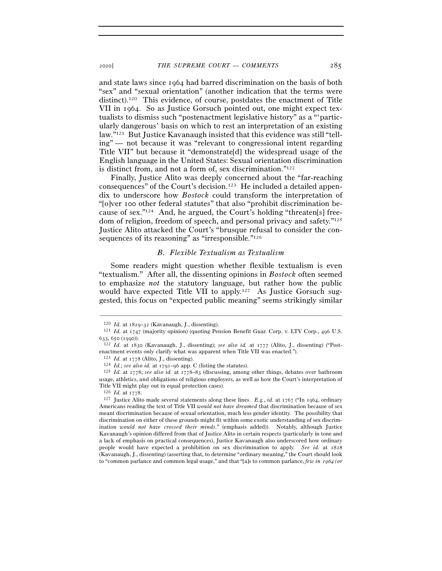and state laws since 1964 had barred discrimination on the basis of both "sex" and "sexual orientation" (another indication that the terms were distinct).120 This evidence, of course, postdates the enactment of Title VII in 1964. So as Justice Gorsuch pointed out, one might expect textualists to dismiss such "postenactment legislative history" as a "'particularly dangerous' basis on which to rest an interpretation of an existing law."121 But Justice Kavanaugh insisted that this evidence was still "telling" — not because it was "relevant to congressional intent regarding Title VII" but because it "demonstrate[d] the widespread usage of the English language in the United States: Sexual orientation discrimination is distinct from, and not a form of, sex discrimination."122

Finally, Justice Alito was deeply concerned about the "far-reaching consequences" of the Court's decision.123 He included a detailed appendix to underscore how *Bostock* could transform the interpretation of "[o]ver 100 other federal statutes" that also "prohibit discrimination because of sex."124 And, he argued, the Court's holding "threaten[s] freedom of religion, freedom of speech, and personal privacy and safety."125 Justice Alito attacked the Court's "brusque refusal to consider the consequences of its reasoning" as "irresponsible."<sup>126</sup>

### *B. Flexible Textualism as Textualism*

Some readers might question whether flexible textualism is even "textualism." After all, the dissenting opinions in *Bostock* often seemed to emphasize *not* the statutory language, but rather how the public would have expected Title VII to apply.<sup>127</sup> As Justice Gorsuch suggested, this focus on "expected public meaning" seems strikingly similar

<sup>&</sup>lt;sup>120</sup> *Id.* at 1829–32 (Kavanaugh, J., dissenting). 121 *Id.* at 1747 (majority opinion) (quoting Pension Benefit Guar. Corp. v. LTV Corp., 496 U.S. <sup>633</sup>, 650 (<sup>1990</sup>)). 122 *Id.* at 1830 (Kavanaugh, J., dissenting); *see also id.* at 1777 (Alito, J., dissenting) ("Post-

enactment events only clarify what was apparent when Title VII was enacted.").

<sup>&</sup>lt;sup>123</sup> *Id.* at 1778 (Alito, J., dissenting).<br><sup>124</sup> *Id.*; *see also id.* at 1791–96 app. C (listing the statutes).<br><sup>125</sup> *Id.* at 1778; *see also id.* at 1778–83 (discussing, among other things, debates over bathroom usage, athletics, and obligations of religious employers, as well as how the Court's interpretation of Title VII might play out in equal protection cases).  $126$  *Id.* at  $1778$ .

<sup>126</sup> *Id.* at <sup>1778</sup>. 127 Justice Alito made several statements along these lines. *E.g.*, *id.* at 1767 ("In 1964, ordinary Americans reading the text of Title VII *would not have dreamed* that discrimination because of sex meant discrimination because of sexual orientation, much less gender identity. The possibility that discrimination on either of these grounds might fit within some exotic understanding of sex discrimination *would not have crossed their minds*." (emphasis added)). Notably, although Justice Kavanaugh's opinion differed from that of Justice Alito in certain respects (particularly in tone and a lack of emphasis on practical consequences), Justice Kavanaugh also underscored how ordinary people would have expected a prohibition on sex discrimination to apply. *See id.* at 1828 (Kavanaugh, J., dissenting) (asserting that, to determine "ordinary meaning," the Court should look to "common parlance and common legal usage," and that "[a]s to common parlance, *few in* 1964 *(or*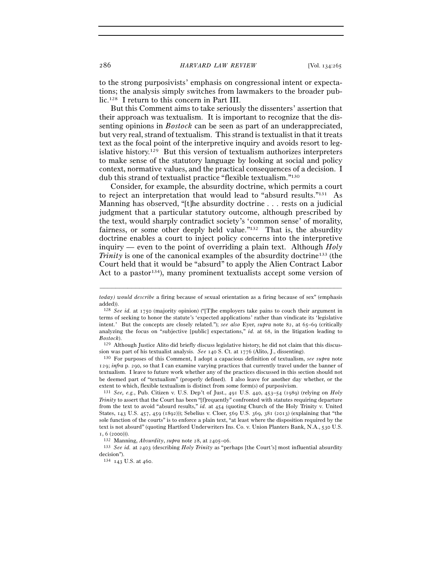to the strong purposivists' emphasis on congressional intent or expectations; the analysis simply switches from lawmakers to the broader public.128 I return to this concern in Part III.

But this Comment aims to take seriously the dissenters' assertion that their approach was textualism. It is important to recognize that the dissenting opinions in *Bostock* can be seen as part of an underappreciated, but very real, strand of textualism. This strand is textualist in that it treats text as the focal point of the interpretive inquiry and avoids resort to legislative history.129 But this version of textualism authorizes interpreters to make sense of the statutory language by looking at social and policy context, normative values, and the practical consequences of a decision. I dub this strand of textualist practice "flexible textualism."130

Consider, for example, the absurdity doctrine, which permits a court to reject an interpretation that would lead to "absurd results."131 As Manning has observed, "[t]he absurdity doctrine . . . rests on a judicial judgment that a particular statutory outcome, although prescribed by the text, would sharply contradict society's 'common sense' of morality, fairness, or some other deeply held value."<sup>132</sup> That is, the absurdity doctrine enables a court to inject policy concerns into the interpretive inquiry — even to the point of overriding a plain text. Although *Holy Trinity* is one of the canonical examples of the absurdity doctrine<sup>133</sup> (the Court held that it would be "absurd" to apply the Alien Contract Labor Act to a pastor<sup>134</sup>), many prominent textualists accept some version of

sion was part of his textualist analysis. *See* <sup>140</sup> S. Ct. at <sup>1776</sup> (Alito, J., dissenting). 130 For purposes of this Comment, I adopt a capacious definition of textualism, *see supra* note

129; *infra* p. 290, so that I can examine varying practices that currently travel under the banner of textualism. I leave to future work whether any of the practices discussed in this section should not be deemed part of "textualism" (properly defined). I also leave for another day whether, or the extent to which, flexible textualism is distinct from some form(s) of purposivism. 131 *See, e.g.*, Pub. Citizen v. U.S. Dep't of Just., 491 U.S. 440, 453–54 (1989) (relying on *Holy* 

*Trinity* to assert that the Court has been "[f]requently" confronted with statutes requiring departure from the text to avoid "absurd results," *id.* at 454 (quoting Church of the Holy Trinity v. United States, 143 U.S. 457, 459 (1892))); Sebelius v. Cloer, 569 U.S. 369, 381 (2013) (explaining that "the sole function of the courts" is to enforce a plain text, "at least where the disposition required by the text is not absurd" (quoting Hartford Underwriters Ins. Co. v. Union Planters Bank, N.A., 530 U.S. <sup>1</sup>, 6 (<sup>2000</sup>))). 132 Manning, *Absurdity*, *supra* note 28, at 2405–<sup>06</sup>. 133 *See id.* at 2403 (describing *Holy Trinity* as "perhaps [the Court's] most influential absurdity

<sup>–––––––––––––––––––––––––––––––––––––––––––––––––––––––––––––</sup> *today) would describe* a firing because of sexual orientation as a firing because of sex" (emphasis added)).

<sup>128</sup> *See id.* at 1750 (majority opinion) ("[T]he employers take pains to couch their argument in terms of seeking to honor the statute's 'expected applications' rather than vindicate its 'legislative intent.' But the concepts are closely related."); *see also* Eyer, *supra* note 82, at 65–69 (critically analyzing the focus on "subjective [public] expectations," *id.* at 68, in the litigation leading to *Bostock*).<br><sup>129</sup> Although Justice Alito did briefly discuss legislative history, he did not claim that this discus-

decision").

 $^{134}\,$  143 U.S. at 460.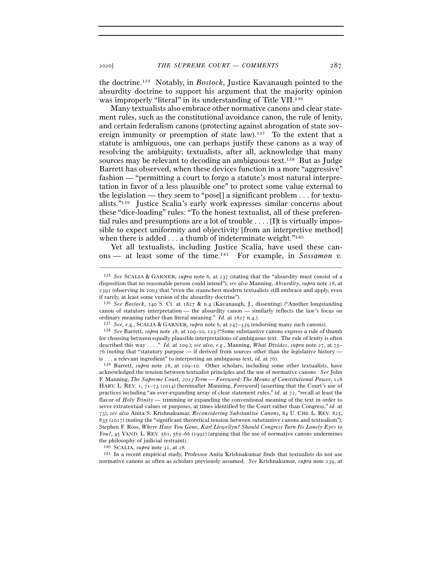the doctrine.135 Notably, in *Bostock*, Justice Kavanaugh pointed to the absurdity doctrine to support his argument that the majority opinion was improperly "literal" in its understanding of Title VII.<sup>136</sup>

Many textualists also embrace other normative canons and clear statement rules, such as the constitutional avoidance canon, the rule of lenity, and certain federalism canons (protecting against abrogation of state sovereign immunity or preemption of state law).137 To the extent that a statute is ambiguous, one can perhaps justify these canons as a way of resolving the ambiguity; textualists, after all, acknowledge that many sources may be relevant to decoding an ambiguous text.138 But as Judge Barrett has observed, when these devices function in a more "aggressive" fashion — "permitting a court to forgo a statute's most natural interpretation in favor of a less plausible one" to protect some value external to the legislation — they seem to "pose[] a significant problem . . . for textualists."139 Justice Scalia's early work expresses similar concerns about these "dice-loading" rules: "To the honest textualist, all of these preferential rules and presumptions are a lot of trouble  $\dots$ . [It is virtually impossible to expect uniformity and objectivity [from an interpretive method] when there is added  $\dots$  a thumb of indeterminate weight."<sup>140</sup>

Yet all textualists, including Justice Scalia, have used these canons — at least some of the time.141 For example, in *Sossamon v.* 

–––––––––––––––––––––––––––––––––––––––––––––––––––––––––––––

<sup>140</sup> SCALIA, *supra* note 31, at 28.<br><sup>141</sup> In a recent empirical study, Professor Anita Krishnakumar finds that textualists do not use normative canons as often as scholars previously assumed. *See* Krishnakumar, *supra* note 139, at

<sup>135</sup> *See* SCALIA & GARNER, *supra* note 6, at 237 (stating that the "absurdity must consist of a disposition that no reasonable person could intend"); *see also* Manning, *Absurdity*, *supra* note 28, at 2391 (observing in 2003 that "even the staunchest modern textualists still embrace and apply, even if rarely, at least some version of the absurdity doctrine").

<sup>136</sup> *See Bostock*, 140 S. Ct. at 1827 & n.4 (Kavanaugh, J., dissenting) ("Another longstanding canon of statutory interpretation — the absurdity canon — similarly reflects the law's focus on ordinary meaning rather than literal meaning." *Id.* at  $1827$  n.4.).<br><sup>137</sup> *See*, *e.g.*, SCALIA & GARNER, *supra* note 6, at  $247-339$  (endorsing many such canons).<br><sup>138</sup> *See* Barrett, *supra* note 28, at 109–10, 123 (

for choosing between equally plausible interpretations of ambiguous text. The rule of lenity is often described this way . . . ." *Id.* at 109.); *see also, e.g.*, Manning, *What Divides*, *supra* note 27, at 75– 76 (noting that "statutory purpose — if derived from sources other than the legislative history is . . . a relevant ingredient" to interpreting an ambiguous text, *id.* at <sup>76</sup>). 139 Barrett, *supra* note 28, at 109–10. Other scholars, including some other textualists, have

acknowledged the tension between textualist principles and the use of normative canons. *See* John F. Manning, *The Supreme Court,* 2013 *Term — Foreword: The Means of Constitutional Power*, 128 HARV. L. REV. 1, 71–73 (2014) [hereinafter Manning, *Foreword*] (asserting that the Court's use of practices including "an ever-expanding array of clear statement rules," *id.* at 72, "recall at least the flavor of *Holy Trinity* — trimming or expanding the conventional meaning of the text in order to serve extratextual values or purposes, at times identified by the Court rather than Congress," *id.* at 73); *see also* Anita S. Krishnakumar, *Reconsidering Substantive Canons*, 84 U. CHI. L. REV. 825, 835 (2017) (noting the "significant theoretical tension between substantive canons and textualism"); Stephen F. Ross, *Where Have You Gone, Karl Llewellyn? Should Congress Turn Its Lonely Eyes to You?*, 45 VAND. L. REV. 561, 565–66 (1992) (arguing that the use of normative canons undermines the philosophy of judicial restraint).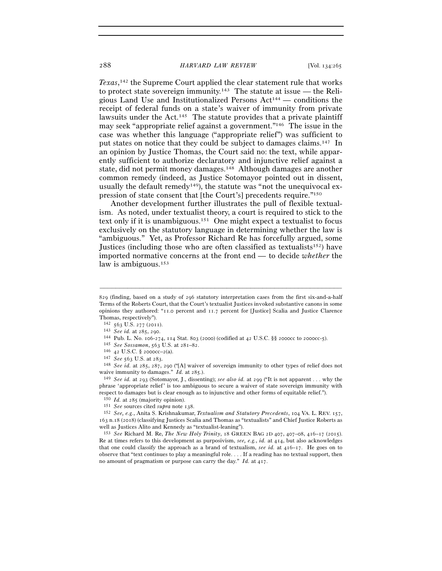*Texas*, 142 the Supreme Court applied the clear statement rule that works to protect state sovereign immunity.<sup>143</sup> The statute at issue — the Religious Land Use and Institutionalized Persons  $Act<sup>144</sup>$  — conditions the receipt of federal funds on a state's waiver of immunity from private lawsuits under the Act.<sup>145</sup> The statute provides that a private plaintiff may seek "appropriate relief against a government."146 The issue in the case was whether this language ("appropriate relief") was sufficient to put states on notice that they could be subject to damages claims.147 In an opinion by Justice Thomas, the Court said no: the text, while apparently sufficient to authorize declaratory and injunctive relief against a state, did not permit money damages.148 Although damages are another common remedy (indeed, as Justice Sotomayor pointed out in dissent, usually the default remedy<sup>149</sup>), the statute was "not the unequivocal expression of state consent that [the Court's] precedents require."150

Another development further illustrates the pull of flexible textualism. As noted, under textualist theory, a court is required to stick to the text only if it is unambiguous.151 One might expect a textualist to focus exclusively on the statutory language in determining whether the law is "ambiguous." Yet, as Professor Richard Re has forcefully argued, some Justices (including those who are often classified as textualists<sup>152</sup>) have imported normative concerns at the front end — to decide *whether* the law is ambiguous.<sup>153</sup>

<sup>829</sup> (finding, based on a study of 296 statutory interpretation cases from the first six-and-a-half Terms of the Roberts Court, that the Court's textualist Justices invoked substantive canons in some opinions they authored: "11.0 percent and 11.7 percent for [Justice] Scalia and Justice Clarence

Thomas, respectively").<br> $^{142}$  563 U.S. 277 (2011).

<sup>&</sup>lt;sup>143</sup> See id. at 285, 290.<br>
<sup>144</sup> Pub. L. No. 106-274, 114 Stat. 803 (2000) (codified at 42 U.S.C. §§ 2000cc to 2000cc-5).<br>
<sup>145</sup> See Sossamon, 563 U.S. at 281-82.<br>
<sup>146</sup> 42 U.S.C. § 2000cc-2(a).<br>
<sup>147</sup> See 563 U.S. at 28 waive immunity to damages." *Id.* at 285.).<br><sup>149</sup> *See id.* at 293 (Sotomayor, J., dissenting); *see also id.* at 299 ("It is not apparent . . . why the

phrase 'appropriate relief' is too ambiguous to secure a waiver of state sovereign immunity with respect to damages but is clear enough as to injunctive and other forms of equitable relief.").<br><sup>150</sup> *Id.* at 285 (majority opinion).<br><sup>151</sup> *See* sources cited *supra* note 138.<br><sup>151</sup> *See*, *e.g.*, Anita S. Krishnakumar

<sup>163</sup> n.18 (2018) (classifying Justices Scalia and Thomas as "textualists" and Chief Justice Roberts as well as Justices Alito and Kennedy as "textualist-leaning").

<sup>153</sup> *See* Richard M. Re, *The New Holy Trinity*, 18 GREEN BAG 2D 407, 407–08, 416–17 (2015). Re at times refers to this development as purposivism, *see, e.g.*, *id.* at 414, but also acknowledges that one could classify the approach as a brand of textualism, *see id.* at 416–17. He goes on to observe that "text continues to play a meaningful role. . . . If a reading has no textual support, then no amount of pragmatism or purpose can carry the day." *Id.* at 417.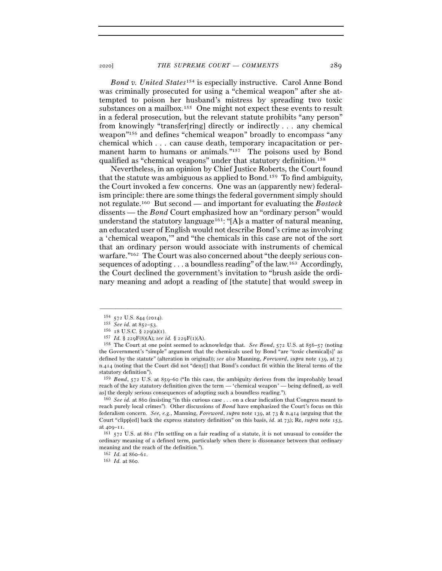*Bond v. United States*154 is especially instructive. Carol Anne Bond was criminally prosecuted for using a "chemical weapon" after she attempted to poison her husband's mistress by spreading two toxic substances on a mailbox.155 One might not expect these events to result in a federal prosecution, but the relevant statute prohibits "any person" from knowingly "transfer[ring] directly or indirectly  $\dots$  any chemical weapon"<sup>156</sup> and defines "chemical weapon" broadly to encompass "any chemical which . . . can cause death, temporary incapacitation or permanent harm to humans or animals."<sup>157</sup> The poisons used by Bond qualified as "chemical weapons" under that statutory definition.158

Nevertheless, in an opinion by Chief Justice Roberts, the Court found that the statute was ambiguous as applied to Bond.159 To find ambiguity, the Court invoked a few concerns. One was an (apparently new) federalism principle: there are some things the federal government simply should not regulate.160 But second — and important for evaluating the *Bostock* dissents — the *Bond* Court emphasized how an "ordinary person" would understand the statutory language<sup>161</sup>: "[A]s a matter of natural meaning, an educated user of English would not describe Bond's crime as involving a 'chemical weapon,'" and "the chemicals in this case are not of the sort that an ordinary person would associate with instruments of chemical warfare."162 The Court was also concerned about "the deeply serious consequences of adopting . . . a boundless reading" of the law.<sup>163</sup> Accordingly, the Court declined the government's invitation to "brush aside the ordinary meaning and adopt a reading of [the statute] that would sweep in

–––––––––––––––––––––––––––––––––––––––––––––––––––––––––––––

<sup>159</sup> *Bond*, 572 U.S. at 859–60 ("In this case, the ambiguity derives from the improbably broad reach of the key statutory definition given the term — 'chemical weapon' — being defined[, as well as] the deeply serious consequences of adopting such a boundless reading.").

<sup>160</sup> *See id.* at 860 (insisting "in this curious case . . . on a clear indication that Congress meant to reach purely local crimes"). Other discussions of *Bond* have emphasized the Court's focus on this federalism concern. *See, e.g.*, Manning, *Foreword*, *supra* note 139, at 73 & n.414 (arguing that the Court "clipp[ed] back the express statutory definition" on this basis, *id.* at 73); Re, *supra* note 153, at 409–11.<br><sup>161</sup> 572 U.S. at 861 ("In settling on a fair reading of a statute, it is not unusual to consider the

ordinary meaning of a defined term, particularly when there is dissonance between that ordinary meaning and the reach of the definition.").

<sup>162</sup> *Id.* at 860–<sup>61</sup>. 163 *Id.* at 860.

<sup>&</sup>lt;sup>154</sup> 572 U.S. 844 (2014).<br>
<sup>155</sup> *See id.* at 852-53.<br>
<sup>156</sup> 18 U.S.C. § 229(a)(1).<br>
<sup>157</sup> *Id.* § 229F(8)(A); *see id.* § 229F(1)(A).<br>
<sup>157</sup> *Id.* § 229F(8)(A); *see id.* § 229F(1)(A).<br>
<sup>158</sup> The Court at one point seem the Government's "simple" argument that the chemicals used by Bond "are 'toxic chemical[s]' as defined by the statute" (alteration in original)); *see also* Manning, *Foreword*, *supra* note 139, at 73 n.414 (noting that the Court did not "deny[] that Bond's conduct fit within the literal terms of the statutory definition").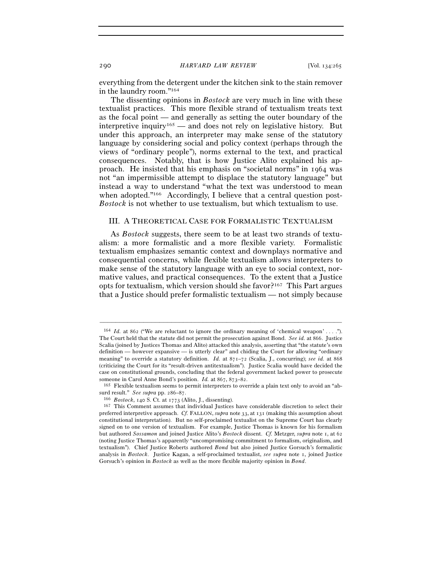everything from the detergent under the kitchen sink to the stain remover in the laundry room."164

The dissenting opinions in *Bostock* are very much in line with these textualist practices. This more flexible strand of textualism treats text as the focal point — and generally as setting the outer boundary of the interpretive inquiry<sup>165</sup> — and does not rely on legislative history. But under this approach, an interpreter may make sense of the statutory language by considering social and policy context (perhaps through the views of "ordinary people"), norms external to the text, and practical consequences. Notably, that is how Justice Alito explained his approach. He insisted that his emphasis on "societal norms" in 1964 was not "an impermissible attempt to displace the statutory language" but instead a way to understand "what the text was understood to mean when adopted."<sup>166</sup> Accordingly, I believe that a central question post-*Bostock* is not whether to use textualism, but which textualism to use.

### III. A THEORETICAL CASE FOR FORMALISTIC TEXTUALISM

As *Bostock* suggests, there seem to be at least two strands of textualism: a more formalistic and a more flexible variety. Formalistic textualism emphasizes semantic context and downplays normative and consequential concerns, while flexible textualism allows interpreters to make sense of the statutory language with an eye to social context, normative values, and practical consequences. To the extent that a Justice opts for textualism, which version should she favor?167 This Part argues that a Justice should prefer formalistic textualism — not simply because

–––––––––––––––––––––––––––––––––––––––––––––––––––––––––––––

<sup>165</sup> Flexible textualism seems to permit interpreters to override a plain text only to avoid an "ab-

<sup>164</sup> *Id.* at 862 ("We are reluctant to ignore the ordinary meaning of 'chemical weapon' . . . ."). The Court held that the statute did not permit the prosecution against Bond. *See id.* at 866. Justice Scalia (joined by Justices Thomas and Alito) attacked this analysis, asserting that "the statute's own definition — however expansive — is utterly clear" and chiding the Court for allowing "ordinary meaning" to override a statutory definition. *Id.* at 871–72 (Scalia, J., concurring); *see id.* at 868 (criticizing the Court for its "result-driven antitextualism"). Justice Scalia would have decided the case on constitutional grounds, concluding that the federal government lacked power to prosecute someone in Carol Anne Bond's position.  $Id.$  at  $867, 873-82$ .

surd result." *See supra* pp. 286–<sup>87</sup>. 166 *Bostock*, 140 S. Ct. at <sup>1773</sup> (Alito, J., dissenting). 167 This Comment assumes that individual Justices have considerable discretion to select their preferred interpretive approach. *Cf.* FALLON, *supra* note 33, at 131 (making this assumption about constitutional interpretation). But no self-proclaimed textualist on the Supreme Court has clearly signed on to one version of textualism. For example, Justice Thomas is known for his formalism but authored *Sossamon* and joined Justice Alito's *Bostock* dissent. *Cf.* Metzger, *supra* note 1, at 62 (noting Justice Thomas's apparently "uncompromising commitment to formalism, originalism, and textualism"). Chief Justice Roberts authored *Bond* but also joined Justice Gorsuch's formalistic analysis in *Bostock*. Justice Kagan, a self-proclaimed textualist, *see supra* note 1, joined Justice Gorsuch's opinion in *Bostock* as well as the more flexible majority opinion in *Bond*.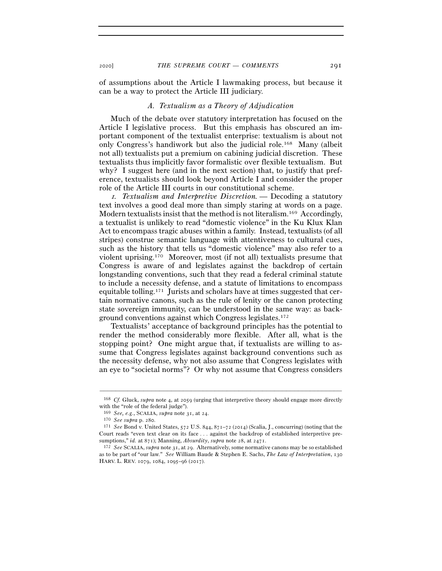of assumptions about the Article I lawmaking process, but because it can be a way to protect the Article III judiciary.

### *A. Textualism as a Theory of Adjudication*

Much of the debate over statutory interpretation has focused on the Article I legislative process. But this emphasis has obscured an important component of the textualist enterprise: textualism is about not only Congress's handiwork but also the judicial role.168 Many (albeit not all) textualists put a premium on cabining judicial discretion. These textualists thus implicitly favor formalistic over flexible textualism. But why? I suggest here (and in the next section) that, to justify that preference, textualists should look beyond Article I and consider the proper role of the Article III courts in our constitutional scheme.

<sup>1</sup>*. Textualism and Interpretive Discretion.* — Decoding a statutory text involves a good deal more than simply staring at words on a page. Modern textualists insist that the method is not literalism.169 Accordingly, a textualist is unlikely to read "domestic violence" in the Ku Klux Klan Act to encompass tragic abuses within a family. Instead, textualists (of all stripes) construe semantic language with attentiveness to cultural cues, such as the history that tells us "domestic violence" may also refer to a violent uprising.170 Moreover, most (if not all) textualists presume that Congress is aware of and legislates against the backdrop of certain longstanding conventions, such that they read a federal criminal statute to include a necessity defense, and a statute of limitations to encompass equitable tolling.171 Jurists and scholars have at times suggested that certain normative canons, such as the rule of lenity or the canon protecting state sovereign immunity, can be understood in the same way: as background conventions against which Congress legislates.172

Textualists' acceptance of background principles has the potential to render the method considerably more flexible. After all, what is the stopping point? One might argue that, if textualists are willing to assume that Congress legislates against background conventions such as the necessity defense, why not also assume that Congress legislates with an eye to "societal norms"? Or why not assume that Congress considers

<sup>–––––––––––––––––––––––––––––––––––––––––––––––––––––––––––––</sup> <sup>168</sup> *Cf.* Gluck, *supra* note 4, at 2059 (urging that interpretive theory should engage more directly with the "role of the federal judge").

<sup>169</sup> *See, e.g.*, SCALIA, *supra* note 31, at <sup>24</sup>. 170 *See supra* p. <sup>280</sup>. 171 *See* Bond v. United States, 572 U.S. 844, 871–72 (2014) (Scalia, J., concurring) (noting that the Court reads "even text clear on its face . . . against the backdrop of established interpretive presumptions," *id.* at 871); Manning, *Absurdity*, *supra* note 28, at <sup>2471</sup>. 172 *See* SCALIA, *supra* note 31, at 29. Alternatively, some normative canons may be so established

as to be part of "our law." *See* William Baude & Stephen E. Sachs, *The Law of Interpretation*, 130 HARV. L. REV. 1079, 1084, 1095–96 (2017).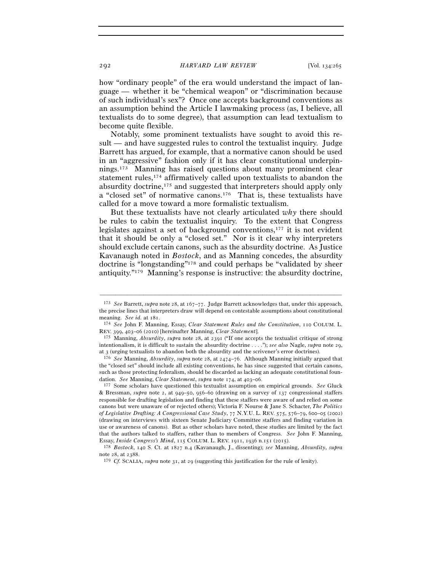how "ordinary people" of the era would understand the impact of language — whether it be "chemical weapon" or "discrimination because of such individual's sex"? Once one accepts background conventions as an assumption behind the Article I lawmaking process (as, I believe, all textualists do to some degree), that assumption can lead textualism to become quite flexible.

Notably, some prominent textualists have sought to avoid this result — and have suggested rules to control the textualist inquiry. Judge Barrett has argued, for example, that a normative canon should be used in an "aggressive" fashion only if it has clear constitutional underpinnings.173 Manning has raised questions about many prominent clear statement rules,174 affirmatively called upon textualists to abandon the absurdity doctrine,175 and suggested that interpreters should apply only a "closed set" of normative canons.176 That is, these textualists have called for a move toward a more formalistic textualism.

But these textualists have not clearly articulated *why* there should be rules to cabin the textualist inquiry. To the extent that Congress legislates against a set of background conventions,177 it is not evident that it should be only a "closed set." Nor is it clear why interpreters should exclude certain canons, such as the absurdity doctrine. As Justice Kavanaugh noted in *Bostock*, and as Manning concedes, the absurdity doctrine is "longstanding"178 and could perhaps be "validated by sheer antiquity."179 Manning's response is instructive: the absurdity doctrine,

<sup>173</sup> *See* Barrett, *supra* note 28, at 167–77. Judge Barrett acknowledges that, under this approach, the precise lines that interpreters draw will depend on contestable assumptions about constitutional meaning. *See id.* at 181.<br><sup>174</sup> *See* John F. Manning, Essay, *Clear Statement Rules and the Constitution*, 110 COLUM. L.

REV. 399, 403–06 (2010) [hereinafter Manning, *Clear Statement*]. 175 Manning, *Absurdity*, *supra* note 28, at 2391 ("If one accepts the textualist critique of strong

intentionalism, it is difficult to sustain the absurdity doctrine . . . ."); *see also* Nagle, *supra* note 29, at 3 (urging textualists to abandon both the absurdity and the scrivener's error doctrines).

<sup>176</sup> *See* Manning, *Absurdity*, *supra* note 28, at 2474–76. Although Manning initially argued that the "closed set" should include all existing conventions, he has since suggested that certain canons, such as those protecting federalism, should be discarded as lacking an adequate constitutional foundation. *See* Manning, *Clear Statement*, *supra* note 174, at 403–06.<br><sup>177</sup> Some scholars have questioned this textualist assumption on empirical grounds. *See* Gluck

<sup>&</sup>amp; Bressman, *supra* note 2, at 949–50, 956–60 (drawing on a survey of 137 congressional staffers responsible for drafting legislation and finding that these staffers were aware of and relied on some canons but were unaware of or rejected others); Victoria F. Nourse & Jane S. Schacter, *The Politics of Legislative Drafting: A Congressional Case Study*, 77 N.Y.U. L. REV. 575, 576–79, 600–05 (2002) (drawing on interviews with sixteen Senate Judiciary Committee staffers and finding variation in use or awareness of canons). But as other scholars have noted, these studies are limited by the fact that the authors talked to staffers, rather than to members of Congress. *See* John F. Manning, Essay, *Inside Congress's Mind*, 115 COLUM. L. REV. <sup>1911</sup>, 1936 n.151 (<sup>2015</sup>). 178 *Bostock*, 140 S. Ct. at 1827 n.4 (Kavanaugh, J., dissenting); *see* Manning, *Absurdity*, *supra*

note 28, at <sup>2388</sup>. 179 *Cf.* SCALIA, *supra* note 31, at 29 (suggesting this justification for the rule of lenity).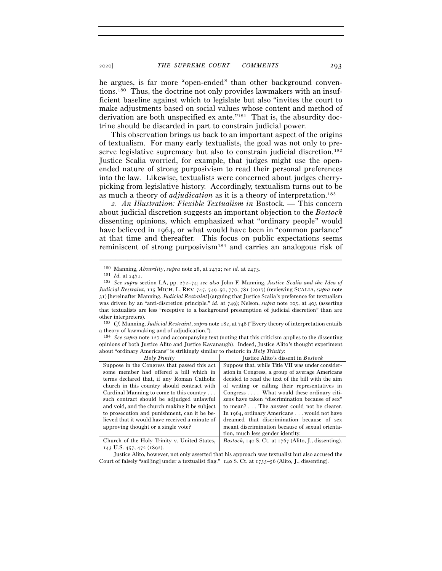he argues, is far more "open-ended" than other background conventions.180 Thus, the doctrine not only provides lawmakers with an insufficient baseline against which to legislate but also "invites the court to make adjustments based on social values whose content and method of derivation are both unspecified ex ante."181 That is, the absurdity doctrine should be discarded in part to constrain judicial power.

This observation brings us back to an important aspect of the origins of textualism. For many early textualists, the goal was not only to preserve legislative supremacy but also to constrain judicial discretion.182 Justice Scalia worried, for example, that judges might use the openended nature of strong purposivism to read their personal preferences into the law. Likewise, textualists were concerned about judges cherrypicking from legislative history. Accordingly, textualism turns out to be as much a theory of *adjudication* as it is a theory of interpretation.183

<sup>2</sup>*. An Illustration: Flexible Textualism in* Bostock*. —* This concern about judicial discretion suggests an important objection to the *Bostock* dissenting opinions, which emphasized what "ordinary people" would have believed in 1964, or what would have been in "common parlance" at that time and thereafter. This focus on public expectations seems reminiscent of strong purposivism184 and carries an analogous risk of

–––––––––––––––––––––––––––––––––––––––––––––––––––––––––––––

<sup>184</sup> *See supra* note 127 and accompanying text (noting that this criticism applies to the dissenting opinions of both Justice Alito and Justice Kavanaugh). Indeed, Justice Alito's thought experiment about "ordinary Americans" is strikingly similar to rhetoric in *Holy Trinity*:

| Holy Trinity                                   | Justice Alito's dissent in <i>Bostock</i>                      |
|------------------------------------------------|----------------------------------------------------------------|
| Suppose in the Congress that passed this act   | Suppose that, while Title VII was under consider-              |
| some member had offered a bill which in        | ation in Congress, a group of average Americans                |
| terms declared that, if any Roman Catholic     | decided to read the text of the bill with the aim              |
| church in this country should contract with    | of writing or calling their representatives in                 |
| Cardinal Manning to come to this country       | Congress  What would these ordinary citi-                      |
| such contract should be adjudged unlawful      | zens have taken "discrimination because of sex"                |
| and void, and the church making it be subject  | to mean? The answer could not be clearer.                      |
| to prosecution and punishment, can it be be-   | In 1964, ordinary Americans would not have                     |
| lieved that it would have received a minute of | dreamed that discrimination because of sex                     |
| approving thought or a single vote?            | meant discrimination because of sexual orienta-                |
|                                                | tion, much less gender identity.                               |
| Church of the Holy Trinity v. United States,   | <i>Bostock</i> , 140 S. Ct. at $1767$ (Alito, J., dissenting). |
|                                                |                                                                |

143 U.S. 457, 472 (1892).

<sup>&</sup>lt;sup>180</sup> Manning, *Absurdity*, *supra* note 28, at 2472; *see id.* at 2473.<br><sup>181</sup> *Id.* at 2471.<br><sup>182</sup> *See supra* section I.A, pp. 272–74; *see also* John F. Manning, *Justice Scalia and the Idea of Judicial Restraint*, 115 MICH. L. REV. 747, 749–50, 770, 781 (2017) (reviewing SCALIA, *supra* note 31) [hereinafter Manning, *Judicial Restraint*] (arguing that Justice Scalia's preference for textualism was driven by an "anti-discretion principle," *id.* at 749); Nelson, *supra* note 105, at 403 (asserting that textualists are less "receptive to a background presumption of judicial discretion" than are other interpreters).

<sup>183</sup> *Cf.* Manning, *Judicial Restraint*, *supra* note 182, at 748 ("Every theory of interpretation entails a theory of lawmaking and of adjudication.").

Justice Alito, however, not only asserted that his approach was textualist but also accused the Court of falsely "sail[ing] under a textualist flag." 140 S. Ct. at 1755–56 (Alito, J., dissenting).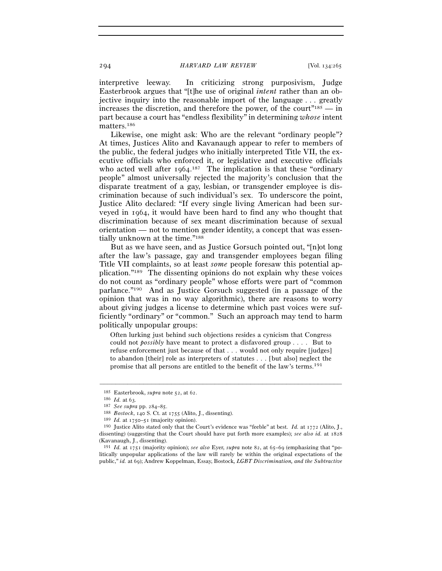294 *HARVARD LAW REVIEW* [Vol. 134:<sup>265</sup>

interpretive leeway. In criticizing strong purposivism, Judge Easterbrook argues that "[t]he use of original *intent* rather than an objective inquiry into the reasonable import of the language . . . greatly increases the discretion, and therefore the power, of the court<sup> $"185$ </sup> — in part because a court has "endless flexibility" in determining *whose* intent matters.186

Likewise, one might ask: Who are the relevant "ordinary people"? At times, Justices Alito and Kavanaugh appear to refer to members of the public, the federal judges who initially interpreted Title VII, the executive officials who enforced it, or legislative and executive officials who acted well after  $1964$ .<sup>187</sup> The implication is that these "ordinary people" almost universally rejected the majority's conclusion that the disparate treatment of a gay, lesbian, or transgender employee is discrimination because of such individual's sex. To underscore the point, Justice Alito declared: "If every single living American had been surveyed in 1964, it would have been hard to find any who thought that discrimination because of sex meant discrimination because of sexual orientation — not to mention gender identity, a concept that was essentially unknown at the time."188

But as we have seen, and as Justice Gorsuch pointed out, "[n]ot long after the law's passage, gay and transgender employees began filing Title VII complaints, so at least *some* people foresaw this potential application."189 The dissenting opinions do not explain why these voices do not count as "ordinary people" whose efforts were part of "common parlance."190 And as Justice Gorsuch suggested (in a passage of the opinion that was in no way algorithmic), there are reasons to worry about giving judges a license to determine which past voices were sufficiently "ordinary" or "common." Such an approach may tend to harm politically unpopular groups:

Often lurking just behind such objections resides a cynicism that Congress could not *possibly* have meant to protect a disfavored group . . . . But to refuse enforcement just because of that . . . would not only require [judges] to abandon [their] role as interpreters of statutes . . . [but also] neglect the promise that all persons are entitled to the benefit of the law's terms.191

<sup>&</sup>lt;sup>185</sup> Easterbrook, *supra* note 52, at 62.<br>
<sup>186</sup> *Id.* at 63.<br>
<sup>187</sup> See supra pp. 284–85.<br>
<sup>187</sup> *Issenting*).<br>
<sup>189</sup> *Id.* at 1750–51 (majority opinion).<br>
<sup>189</sup> *Id.* at 1750–51 (majority opinion).<br>
<sup>190</sup> Justice Alito dissenting) (suggesting that the Court should have put forth more examples); *see also id.* at 1828 (Kavanaugh, J., dissenting).

<sup>191</sup> *Id.* at 1751 (majority opinion); *see also* Eyer, *supra* note 82, at 65–69 (emphasizing that "politically unpopular applications of the law will rarely be within the original expectations of the public," *id.* at 69); Andrew Koppelman, Essay, Bostock*, LGBT Discrimination, and the Subtractive*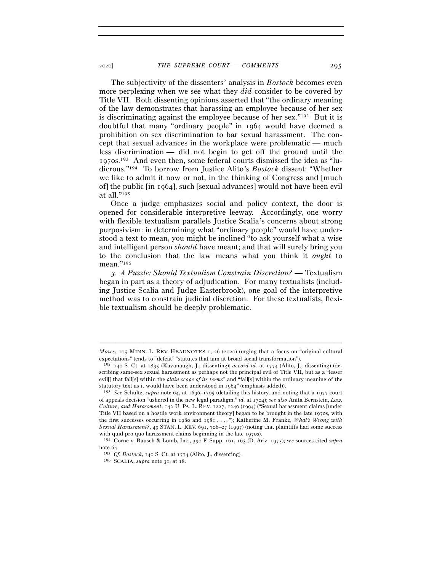The subjectivity of the dissenters' analysis in *Bostock* becomes even more perplexing when we see what they *did* consider to be covered by Title VII. Both dissenting opinions asserted that "the ordinary meaning of the law demonstrates that harassing an employee because of her sex is discriminating against the employee because of her sex."192 But it is doubtful that many "ordinary people" in 1964 would have deemed a prohibition on sex discrimination to bar sexual harassment. The concept that sexual advances in the workplace were problematic — much less discrimination — did not begin to get off the ground until the 1970s.193 And even then, some federal courts dismissed the idea as "ludicrous."194 To borrow from Justice Alito's *Bostock* dissent: "Whether we like to admit it now or not, in the thinking of Congress and [much of] the public [in 1964], such [sexual advances] would not have been evil at all."195

Once a judge emphasizes social and policy context, the door is opened for considerable interpretive leeway. Accordingly, one worry with flexible textualism parallels Justice Scalia's concerns about strong purposivism: in determining what "ordinary people" would have understood a text to mean, you might be inclined "to ask yourself what a wise and intelligent person *should* have meant; and that will surely bring you to the conclusion that the law means what you think it *ought* to mean."196

<sup>3</sup>*. A Puzzle: Should Textualism Constrain Discretion?* — Textualism began in part as a theory of adjudication. For many textualists (including Justice Scalia and Judge Easterbrook), one goal of the interpretive method was to constrain judicial discretion. For these textualists, flexible textualism should be deeply problematic.

<sup>–––––––––––––––––––––––––––––––––––––––––––––––––––––––––––––</sup> *Moves*, 105 MINN. L. REV. HEADNOTES 1, 26 (2020) (urging that a focus on "original cultural expectations" tends to "defeat" "statutes that aim at broad social transformation").

<sup>192</sup> 140 S. Ct. at 1835 (Kavanaugh, J., dissenting); *accord id.* at 1774 (Alito, J., dissenting) (describing same-sex sexual harassment as perhaps not the principal evil of Title VII, but as a "lesser evil[] that fall[s] within the *plain scope of its terms*" and "fall[s] within the ordinary meaning of the statutory text as it would have been understood in <sup>1964</sup>" (emphasis added)). 193 *See* Schultz, *supra* note 64, at 1696–1705 (detailing this history, and noting that a 1977 court

of appeals decision "ushered in the new legal paradigm," *id.* at 1704); *see also* Anita Bernstein, *Law, Culture, and Harassment*, 142 U. PA. L. REV. 1227, 1240 (1994) ("Sexual harassment claims [under Title VII based on a hostile work environment theory] began to be brought in the late 1970s, with the first successes occurring in 1980 and 1981 . . . ."); Katherine M. Franke, *What's Wrong with Sexual Harassment?*, 49 STAN. L. REV. 691, 706–07 (1997) (noting that plaintiffs had some success with quid pro quo harassment claims beginning in the late <sup>1970</sup>s). 194 Corne v. Bausch & Lomb, Inc., 390 F. Supp. 161, 163 (D. Ariz. 1975); *see* sources cited *supra*

note <sup>64</sup>. 195 *Cf. Bostock*, 140 S. Ct. at <sup>1774</sup> (Alito, J., dissenting). 196 SCALIA, *supra* note 31, at 18.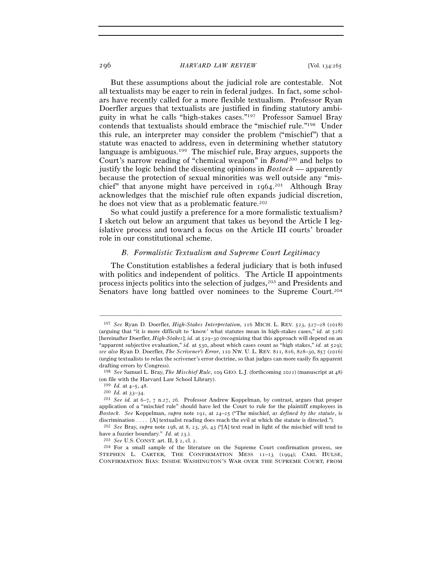#### 296 *HARVARD LAW REVIEW* [Vol. 134:<sup>265</sup>

But these assumptions about the judicial role are contestable. Not all textualists may be eager to rein in federal judges. In fact, some scholars have recently called for a more flexible textualism. Professor Ryan Doerfler argues that textualists are justified in finding statutory ambiguity in what he calls "high-stakes cases."197 Professor Samuel Bray contends that textualists should embrace the "mischief rule."198 Under this rule, an interpreter may consider the problem ("mischief") that a statute was enacted to address, even in determining whether statutory language is ambiguous.<sup>199</sup> The mischief rule, Bray argues, supports the Court's narrow reading of "chemical weapon" in *Bond*200 and helps to justify the logic behind the dissenting opinions in *Bostock* — apparently because the protection of sexual minorities was well outside any "mischief" that anyone might have perceived in 1964. 201 Although Bray acknowledges that the mischief rule often expands judicial discretion, he does not view that as a problematic feature.<sup>202</sup>

So what could justify a preference for a more formalistic textualism? I sketch out below an argument that takes us beyond the Article I legislative process and toward a focus on the Article III courts' broader role in our constitutional scheme.

### *B. Formalistic Textualism and Supreme Court Legitimacy*

The Constitution establishes a federal judiciary that is both infused with politics and independent of politics. The Article II appointments process injects politics into the selection of judges,203 and Presidents and Senators have long battled over nominees to the Supreme Court.<sup>204</sup>

<sup>197</sup> *See* Ryan D. Doerfler, *High-Stakes Interpretation*, 116 MICH. L. REV. 523, 527–28 (2018) (arguing that "it is more difficult to 'know' what statutes mean in high-stakes cases," *id.* at 528) [hereinafter Doerfler, *High-Stakes*]; *id.* at 529–30 (recognizing that this approach will depend on an "apparent subjective evaluation," *id.* at 530, about which cases count as "high stakes," *id.* at 529); *see also* Ryan D. Doerfler, *The Scrivener's Error*, 110 NW. U. L. REV. 811, 816, 828–30, 857 (2016) (urging textualists to relax the scrivener's error doctrine, so that judges can more easily fix apparent drafting errors by Congress).

<sup>198</sup> *See* Samuel L. Bray, *The Mischief Rule*, 109 GEO. L.J. (forthcoming 2021) (manuscript at 48) (on file with the Harvard Law School Library).

<sup>199</sup> *Id.* at 4–5, <sup>48</sup>. 200 *Id.* at 33–<sup>34</sup>. 201 *See id.* at 6–7, 7 n.27, 26. Professor Andrew Koppelman, by contrast, argues that proper application of a "mischief rule" should have led the Court to rule for the plaintiff employees in *Bostock*. *See* Koppelman, *supra* note 191, at 24–25 ("The mischief, *as defined by the statute*, is discrimination . . . . [A] textualist reading does reach the evil at which the statute is directed.").

<sup>202</sup> *See* Bray, *supra* note 198, at 8, 23, 36, 43 ("[A] text read in light of the mischief will tend to have a fuzzier boundary." *Id.* at 23.).<br><sup>203</sup> *See* U.S. CONST. art. II, § 2, cl. 2.<br><sup>204</sup> For a small sample of the literature on the Supreme Court confirmation process, see

STEPHEN L. CARTER, THE CONFIRMATION MESS 11–13 (1994); CARL HULSE, CONFIRMATION BIAS: INSIDE WASHINGTON'S WAR OVER THE SUPREME COURT, FROM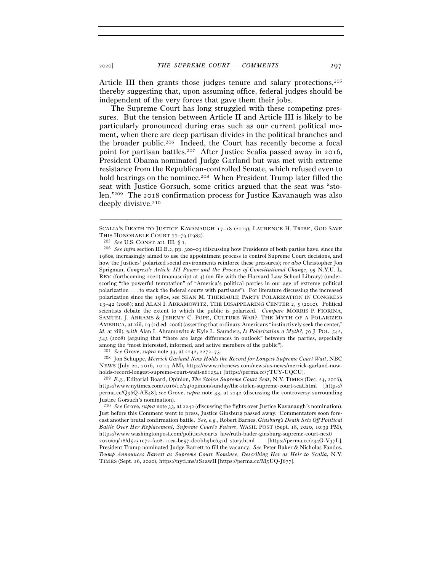Article III then grants those judges tenure and salary protections,<sup>205</sup> thereby suggesting that, upon assuming office, federal judges should be independent of the very forces that gave them their jobs.

The Supreme Court has long struggled with these competing pressures. But the tension between Article II and Article III is likely to be particularly pronounced during eras such as our current political moment, when there are deep partisan divides in the political branches and the broader public.206 Indeed, the Court has recently become a focal point for partisan battles.207 After Justice Scalia passed away in 2016, President Obama nominated Judge Garland but was met with extreme resistance from the Republican-controlled Senate, which refused even to hold hearings on the nominee.<sup>208</sup> When President Trump later filled the seat with Justice Gorsuch, some critics argued that the seat was "stolen."209 The 2018 confirmation process for Justice Kavanaugh was also deeply divisive.210

<sup>208</sup> Jon Schuppe, *Merrick Garland Now Holds the Record for Longest Supreme Court Wait*, NBC NEWS (July 20, 2016, 10:14 AM), https://www.nbcnews.com/news/us-news/merrick-garland-nowholds-record-longest-supreme-court-wait-n612541 [https://perma.cc/<sup>7</sup>TUY-UQCU]. 209 *E.g.*, Editorial Board, Opinion, *The Stolen Supreme Court Seat*, N.Y. TIMES (Dec. 24, 2016),

https://www.nytimes.com/2016/12/24/opinion/sunday/the-stolen-supreme-court-seat.html [https:// perma.cc/Q96Q-AE48]; *see* Grove, *supra* note 33, at 2242 (discussing the controversy surrounding Justice Gorsuch's nomination).

<sup>210</sup> *See* Grove, *supra* note 33, at 2242 (discussing the fights over Justice Kavanaugh's nomination). Just before this Comment went to press, Justice Ginsburg passed away. Commentators soon forecast another brutal confirmation battle. *See, e.g.*, Robert Barnes, *Ginsburg's Death Sets Off Political Battle Over Her Replacement, Supreme Court's Future*, WASH. POST (Sept. 18, 2020, 10:39 PM), https://www.washingtonpost.com/politics/courts\_law/ruth-bader-ginsburg-supreme-court-next/ 2020/09/18/d5251c72-fa08-11ea-be57-d00bb9bc632d\_story.html [https://perma.cc/234G-V37L]. President Trump nominated Judge Barrett to fill the vacancy. *See* Peter Baker & Nicholas Fandos,

*Trump Announces Barrett as Supreme Court Nominee, Describing Her as Heir to Scalia*, N.Y. TIMES (Sept. 26, 2020), https://nyti.ms/2S2awII [https://perma.cc/M5UQ-J677].

<sup>–––––––––––––––––––––––––––––––––––––––––––––––––––––––––––––</sup> SCALIA'S DEATH TO JUSTICE KAVANAUGH 17–18 (2019); LAURENCE H. TRIBE, GOD SAVE

THIS HONORABLE COURT 77–79 (1985).<br><sup>205</sup> *See* U.S. CONST. art. III, § 1.<br><sup>206</sup> *See infra* section III.B.2, pp. 300–03 (discussing how Presidents of both parties have, since the 1980s, increasingly aimed to use the appointment process to control Supreme Court decisions, and how the Justices' polarized social environments reinforce these pressures); *see also* Christopher Jon Sprigman, *Congress's Article III Power and the Process of Constitutional Change*, 95 N.Y.U. L. REV. (forthcoming 2020) (manuscript at 4) (on file with the Harvard Law School Library) (underscoring "the powerful temptation" of "America's political parties in our age of extreme political polarization . . . to stack the federal courts with partisans"). For literature discussing the increased polarization since the 1980s, see SEAN M. THERIAULT, PARTY POLARIZATION IN CONGRESS 13–42 (2008); and ALAN I. ABRAMOWITZ, THE DISAPPEARING CENTER 2, 5 (2010). Political scientists debate the extent to which the public is polarized. *Compare* MORRIS P. FIORINA, SAMUEL J. ABRAMS & JEREMY C. POPE, CULTURE WAR?: THE MYTH OF A POLARIZED AMERICA, at xiii, 19 (2d ed. 2006) (asserting that ordinary Americans "instinctively seek the center," *id.* at xiii), *with* Alan I. Abramowitz & Kyle L. Saunders, *Is Polarization a Myth?*, 70 J. POL. 542, 543 (2008) (arguing that "there are large differences in outlook" between the parties, especially among the "most interested, informed, and active members of the public"). <sup>207</sup> See Grove, *supra* note 33, at  $2242$ ,  $2272-73$ .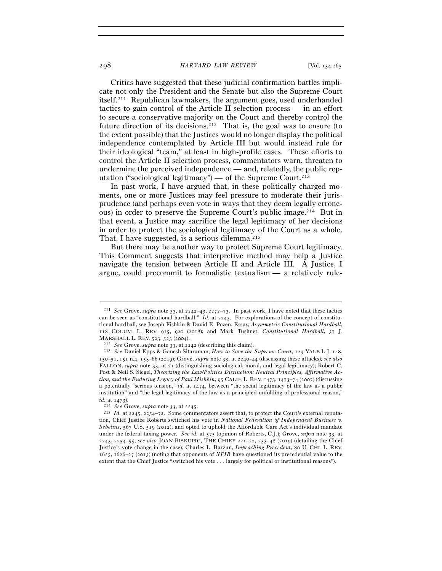#### 298 *HARVARD LAW REVIEW* [Vol. 134:<sup>265</sup>

Critics have suggested that these judicial confirmation battles implicate not only the President and the Senate but also the Supreme Court itself.211 Republican lawmakers, the argument goes, used underhanded tactics to gain control of the Article II selection process — in an effort to secure a conservative majority on the Court and thereby control the future direction of its decisions.<sup>212</sup> That is, the goal was to ensure (to the extent possible) that the Justices would no longer display the political independence contemplated by Article III but would instead rule for their ideological "team," at least in high-profile cases. These efforts to control the Article II selection process, commentators warn, threaten to undermine the perceived independence — and, relatedly, the public reputation ("sociological legitimacy") — of the Supreme Court.<sup>213</sup>

In past work, I have argued that, in these politically charged moments, one or more Justices may feel pressure to moderate their jurisprudence (and perhaps even vote in ways that they deem legally erroneous) in order to preserve the Supreme Court's public image.214 But in that event, a Justice may sacrifice the legal legitimacy of her decisions in order to protect the sociological legitimacy of the Court as a whole. That, I have suggested, is a serious dilemma.<sup>215</sup>

But there may be another way to protect Supreme Court legitimacy. This Comment suggests that interpretive method may help a Justice navigate the tension between Article II and Article III. A Justice, I argue, could precommit to formalistic textualism — a relatively rule-

<sup>211</sup> *See* Grove, *supra* note 33, at 2242–43, 2272–73. In past work, I have noted that these tactics can be seen as "constitutional hardball." *Id.* at 2243. For explorations of the concept of constitutional hardball, see Joseph Fishkin & David E. Pozen, Essay, *Asymmetric Constitutional Hardball*, 118 COLUM. L. REV. 915, 920 (2018); and Mark Tushnet, *Constitutional Hardball*, 37 J.

MARSHALL L. REV. <sup>523</sup>, 523 (<sup>2004</sup>). 212 *See* Grove, *supra* note 33, at <sup>2242</sup> (describing this claim). 213 *See* Daniel Epps & Ganesh Sitaraman, *How to Save the Supreme Court*, 129 YALE L.J. 148, 150–51, 151 n.4, 153–66 (2019); Grove, *supra* note 33, at 2240–44 (discussing these attacks)*; see also* FALLON, *supra* note 33, at 21 (distinguishing sociological, moral, and legal legitimacy); Robert C. Post & Neil S. Siegel, *Theorizing the Law/Politics Distinction: Neutral Principles, Affirmative Action, and the Enduring Legacy of Paul Mishkin*, 95 CALIF. L. REV. 1473, 1473–74 (2007) (discussing a potentially "serious tension," *id.* at 1474, between "the social legitimacy of the law as a public institution" and "the legal legitimacy of the law as a principled unfolding of professional reason," *id.* at <sup>1473</sup>). 214 *See* Grove, *supra* note 33, at 2245.

<sup>215</sup> *Id.* at 2245, 2254–72. Some commentators assert that, to protect the Court's external reputation, Chief Justice Roberts switched his vote in *National Federation of Independent Business v. Sebelius*, 567 U.S. 519 (2012), and opted to uphold the Affordable Care Act's individual mandate under the federal taxing power. *See id.* at 575 (opinion of Roberts, C.J.); Grove, *supra* note 33, at 2243, 2254–55; *see also* JOAN BISKUPIC, THE CHIEF 221–22, 233–48 (2019) (detailing the Chief Justice's vote change in the case); Charles L. Barzun, *Impeaching Precedent*, 80 U. CHI. L. REV. 1625, 1626–27 (2013) (noting that opponents of *NFIB* have questioned its precedential value to the extent that the Chief Justice "switched his vote . . . largely for political or institutional reasons").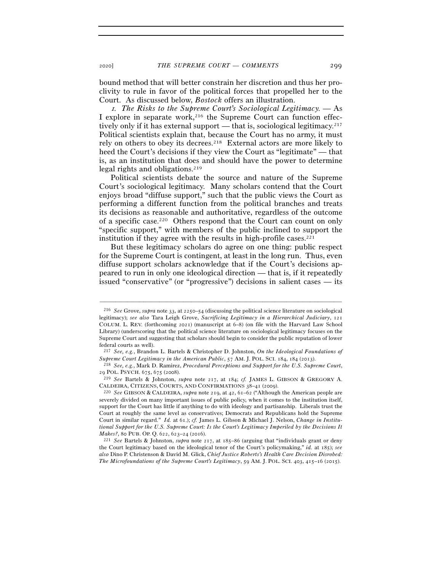<sup>2020</sup>] *THE SUPREME COURT — COMMENTS* 299

bound method that will better constrain her discretion and thus her proclivity to rule in favor of the political forces that propelled her to the Court. As discussed below, *Bostock* offers an illustration.

<sup>1</sup>*. The Risks to the Supreme Court's Sociological Legitimacy. —* As I explore in separate work,<sup>216</sup> the Supreme Court can function effectively only if it has external support — that is, sociological legitimacy.<sup>217</sup> Political scientists explain that, because the Court has no army, it must rely on others to obey its decrees.218 External actors are more likely to heed the Court's decisions if they view the Court as "legitimate" — that is, as an institution that does and should have the power to determine legal rights and obligations.219

Political scientists debate the source and nature of the Supreme Court's sociological legitimacy. Many scholars contend that the Court enjoys broad "diffuse support," such that the public views the Court as performing a different function from the political branches and treats its decisions as reasonable and authoritative, regardless of the outcome of a specific case.220 Others respond that the Court can count on only "specific support," with members of the public inclined to support the institution if they agree with the results in high-profile cases. $221$ 

But these legitimacy scholars do agree on one thing: public respect for the Supreme Court is contingent, at least in the long run. Thus, even diffuse support scholars acknowledge that if the Court's decisions appeared to run in only one ideological direction — that is, if it repeatedly issued "conservative" (or "progressive") decisions in salient cases — its

<sup>216</sup> *See* Grove, *supra* note 33, at 2250–54 (discussing the political science literature on sociological legitimacy); *see also* Tara Leigh Grove, *Sacrificing Legitimacy in a Hierarchical Judiciary*, 121 COLUM. L. REV. (forthcoming 2021) (manuscript at 6–8) (on file with the Harvard Law School Library) (underscoring that the political science literature on sociological legitimacy focuses on the Supreme Court and suggesting that scholars should begin to consider the public reputation of lower federal courts as well).

<sup>217</sup> *See, e.g.*, Brandon L. Bartels & Christopher D. Johnston, *On the Ideological Foundations of Supreme Court Legitimacy in the American Public*, 57 AM. J. POL. SCI. 184, 184 (<sup>2013</sup>). 218 *See, e.g.*, Mark D. Ramirez, *Procedural Perceptions and Support for the U.S. Supreme Court*,

<sup>29</sup> POL. PSYCH. 675, 675 (<sup>2008</sup>). 219 *See* Bartels & Johnston, *supra* note 217, at 184; *cf.* JAMES L. GIBSON & GREGORY A.

CALDEIRA, CITIZENS, COURTS, AND CONFIRMATIONS <sup>38</sup>–41 (<sup>2009</sup>). 220 *See* GIBSON & CALDEIRA, *supra* note 219, at 42, 61–62 ("Although the American people are

severely divided on many important issues of public policy, when it comes to the institution itself, support for the Court has little if anything to do with ideology and partisanship. Liberals trust the Court at roughly the same level as conservatives; Democrats and Republicans hold the Supreme Court in similar regard." *Id.* at 61.); *cf.* James L. Gibson & Michael J. Nelson, *Change in Institutional Support for the U.S. Supreme Court: Is the Court's Legitimacy Imperiled by the Decisions It Makes?*, 80 PUB. OP. Q. <sup>622</sup>, 623–24 (<sup>2016</sup>). 221 *See* Bartels & Johnston, *supra* note 217, at 185–86 (arguing that "individuals grant or deny

the Court legitimacy based on the ideological tenor of the Court's policymaking," *id.* at 185); *see also* Dino P. Christenson & David M. Glick, *Chief Justice Roberts's Health Care Decision Disrobed: The Microfoundations of the Supreme Court's Legitimacy*, 59 AM. J. POL. SCI. 403, 415–16 (2015).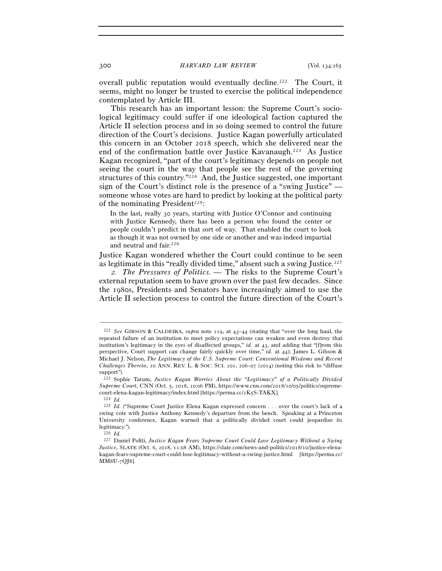overall public reputation would eventually decline.<sup>222</sup> The Court, it seems, might no longer be trusted to exercise the political independence contemplated by Article III.

This research has an important lesson: the Supreme Court's sociological legitimacy could suffer if one ideological faction captured the Article II selection process and in so doing seemed to control the future direction of the Court's decisions. Justice Kagan powerfully articulated this concern in an October 2018 speech, which she delivered near the end of the confirmation battle over Justice Kavanaugh.223 As Justice Kagan recognized, "part of the court's legitimacy depends on people not seeing the court in the way that people see the rest of the governing structures of this country."224 And, the Justice suggested, one important sign of the Court's distinct role is the presence of a "swing Justice" someone whose votes are hard to predict by looking at the political party of the nominating President<sup>225</sup>:

In the last, really 30 years, starting with Justice O'Connor and continuing with Justice Kennedy, there has been a person who found the center or people couldn't predict in that sort of way. That enabled the court to look as though it was not owned by one side or another and was indeed impartial and neutral and fair.<sup>226</sup>

Justice Kagan wondered whether the Court could continue to be seen as legitimate in this "really divided time," absent such a swing Justice.<sup>227</sup>

<sup>2</sup>*. The Pressures of Politics.* — The risks to the Supreme Court's external reputation seem to have grown over the past few decades. Since the 1980s, Presidents and Senators have increasingly aimed to use the Article II selection process to control the future direction of the Court's

<sup>222</sup> *See* GIBSON & CALDEIRA, *supra* note 219, at 43–44 (stating that "over the long haul, the repeated failure of an institution to meet policy expectations can weaken and even destroy that institution's legitimacy in the eyes of disaffected groups," *id.* at 43, and adding that "[f]rom this perspective, Court support can change fairly quickly over time," *id.* at 44); James L. Gibson & Michael J. Nelson, *The Legitimacy of the U.S. Supreme Court: Conventional Wisdoms and Recent Challenges Thereto*, 10 ANN. REV. L. & SOC. SCI. 201, 206–07 (2014) (noting this risk to "diffuse support").

<sup>223</sup> Sophie Tatum, *Justice Kagan Worries About the "Legitimacy" of a Politically Divided Supreme Court*, CNN (Oct. 5, 2018, 10:06 PM), https://www.cnn.com/2018/10/05/politics/supremecourt-elena-kagan-legitimacy/index.html [https://perma.cc/2K<sup>5</sup>S-TAKX]. 224 *Id.*

<sup>&</sup>lt;sup>225</sup> *Id.* ("Supreme Court Justice Elena Kagan expressed concern . . . over the court's lack of a swing vote with Justice Anthony Kennedy's departure from the bench. Speaking at a Princeton University conference, Kagan warned that a politically divided court could jeopardize its legitimacy.").

<sup>226</sup> *Id.*

<sup>227</sup> Daniel Politi, *Justice Kagan Fears Supreme Court Could Lose Legitimacy Without a Swing Justice*, SLATE (Oct. 6, 2018, 11:08 AM), https://slate.com/news-and-politics/2018/10/justice-elenakagan-fears-supreme-court-could-lose-legitimacy-without-a-swing-justice.html [https://perma.cc/ MM8U-7QJ8].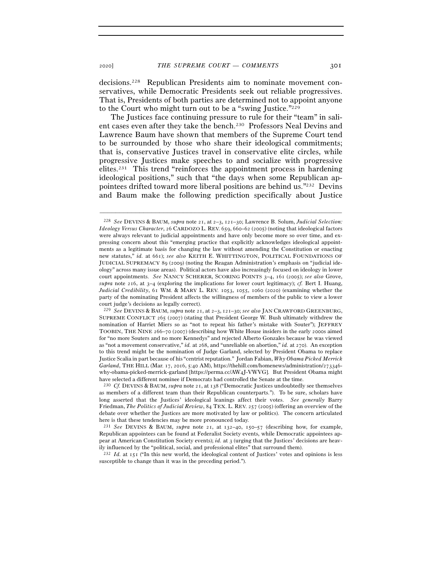decisions.228 Republican Presidents aim to nominate movement conservatives, while Democratic Presidents seek out reliable progressives. That is, Presidents of both parties are determined not to appoint anyone to the Court who might turn out to be a "swing Justice."229

The Justices face continuing pressure to rule for their "team" in salient cases even after they take the bench.230 Professors Neal Devins and Lawrence Baum have shown that members of the Supreme Court tend to be surrounded by those who share their ideological commitments; that is, conservative Justices travel in conservative elite circles, while progressive Justices make speeches to and socialize with progressive elites.231 This trend "reinforces the appointment process in hardening ideological positions," such that "the days when some Republican appointees drifted toward more liberal positions are behind us."232 Devins and Baum make the following prediction specifically about Justice

–––––––––––––––––––––––––––––––––––––––––––––––––––––––––––––

<sup>232</sup> *Id.* at 151 ("In this new world, the ideological content of Justices' votes and opinions is less susceptible to change than it was in the preceding period.").

<sup>228</sup> *See* DEVINS & BAUM, *supra* note 21, at 2–3, 121–30; Lawrence B. Solum, *Judicial Selection: Ideology Versus Character*, 26 CARDOZO L. REV. 659, 660–62 (2005) (noting that ideological factors were always relevant to judicial appointments and have only become more so over time, and expressing concern about this "emerging practice that explicitly acknowledges ideological appointments as a legitimate basis for changing the law without amending the Constitution or enacting new statutes," *id.* at 661); *see also* KEITH E. WHITTINGTON, POLITICAL FOUNDATIONS OF JUDICIAL SUPREMACY 89 (2009) (noting the Reagan Administration's emphasis on "judicial ideology" across many issue areas). Political actors have also increasingly focused on ideology in lower court appointments. *See* NANCY SCHERER, SCORING POINTS 3–4, 161 (2005); *see also* Grove, *supra* note 216, at 3–4 (exploring the implications for lower court legitimacy); *cf.* Bert I. Huang, *Judicial Credibility*, 61 WM. & MARY L. REV. 1053, 1055, 1060 (2020) (examining whether the party of the nominating President affects the willingness of members of the public to view a lower court judge's decisions as legally correct).

<sup>229</sup> *See* DEVINS & BAUM, *supra* note 21, at 2–3, 121–30; *see also* JAN CRAWFORD GREENBURG, SUPREME CONFLICT 265 (2007) (stating that President George W. Bush ultimately withdrew the nomination of Harriet Miers so as "not to repeat his father's mistake with Souter"); JEFFREY TOOBIN, THE NINE 266–70 (2007) (describing how White House insiders in the early 2000s aimed for "no more Souters and no more Kennedys" and rejected Alberto Gonzales because he was viewed as "not a movement conservative," *id.* at 268, and "unreliable on abortion," *id.* at 270). An exception to this trend might be the nomination of Judge Garland, selected by President Obama to replace Justice Scalia in part because of his "centrist reputation." Jordan Fabian, *Why Obama Picked Merrick Garland*, THE HILL (Mar. 17, 2016, 5:40 AM), https://thehill.com/homenews/administration/273346 why-obama-picked-merrick-garland [https://perma.cc/AW4J-VWVG]. But President Obama might have selected a different nominee if Democrats had controlled the Senate at the time.

<sup>230</sup> *Cf.* DEVINS & BAUM, *supra* note 21, at 138 ("Democratic Justices undoubtedly see themselves as members of a different team than their Republican counterparts."). To be sure, scholars have long asserted that the Justices' ideological leanings affect their votes. *See generally* Barry Friedman, *The Politics of Judicial Review*, 84 TEX. L. REV. 257 (2005) (offering an overview of the debate over whether the Justices are more motivated by law or politics). The concern articulated here is that these tendencies may be more pronounced today.

<sup>231</sup> *See* DEVINS & BAUM, *supra* note 21, at 132–40, 150–57 (describing how, for example, Republican appointees can be found at Federalist Society events, while Democratic appointees appear at American Constitution Society events); *id.* at 3 (urging that the Justices' decisions are heavily influenced by the "political, social, and professional elites" that surround them).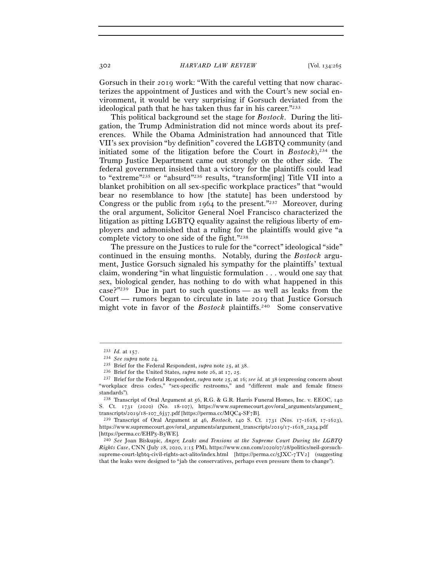302 *HARVARD LAW REVIEW* [Vol. 134:<sup>265</sup>

Gorsuch in their 2019 work: "With the careful vetting that now characterizes the appointment of Justices and with the Court's new social environment, it would be very surprising if Gorsuch deviated from the ideological path that he has taken thus far in his career."233

This political background set the stage for *Bostock*. During the litigation, the Trump Administration did not mince words about its preferences. While the Obama Administration had announced that Title VII's sex provision "by definition" covered the LGBTQ community (and initiated some of the litigation before the Court in *Bostock*),234 the Trump Justice Department came out strongly on the other side. The federal government insisted that a victory for the plaintiffs could lead to "extreme"235 or "absurd"236 results, "transform[ing] Title VII into a blanket prohibition on all sex-specific workplace practices" that "would bear no resemblance to how [the statute] has been understood by Congress or the public from 1964 to the present."237 Moreover, during the oral argument, Solicitor General Noel Francisco characterized the litigation as pitting LGBTQ equality against the religious liberty of employers and admonished that a ruling for the plaintiffs would give "a complete victory to one side of the fight."238

The pressure on the Justices to rule for the "correct" ideological "side" continued in the ensuing months. Notably, during the *Bostock* argument, Justice Gorsuch signaled his sympathy for the plaintiffs' textual claim, wondering "in what linguistic formulation . . . would one say that sex, biological gender, has nothing to do with what happened in this case?"239 Due in part to such questions — as well as leaks from the Court — rumors began to circulate in late 2019 that Justice Gorsuch might vote in favor of the *Bostock* plaintiffs.240 Some conservative

<sup>&</sup>lt;sup>233</sup> *Id.* at 157.<br>
<sup>234</sup> *See supra* note 24.<br>
<sup>235</sup> Brief for the Federal Respondent, *supra* note 25, at 38.<br>
<sup>236</sup> Brief for the United States, *supra* note 26, at 17, 25.<br>
<sup>237</sup> Brief for the Federal Respondent, *su* "workplace dress codes," "sex-specific restrooms," and "different male and female fitness standards").

<sup>238</sup> Transcript of Oral Argument at 56, R.G. & G.R. Harris Funeral Homes, Inc. v. EEOC, 140 S. Ct. 1731 (2020) (No. 18-107), https://www.supremecourt.gov/oral\_arguments/argument\_ transcripts/2019/18-107\_6j37.pdf [https://perma.cc/MQC4-SF<sup>7</sup>B]. 239 Transcript of Oral Argument at 46, *Bostock*, 140 S. Ct. 1731 (Nos. 17-1618, 17-1623),

https://www.supremecourt.gov/oral\_arguments/argument\_transcripts/2019/17-1618\_2a34.pdf

<sup>[</sup>https://perma.cc/EHP5-B<sup>5</sup>WE]. 240 *See* Joan Biskupic, *Anger, Leaks and Tensions at the Supreme Court During the LGBTQ Rights Case*, CNN (July 28, 2020, 2:15 PM), https://www.cnn.com/2020/07/28/politics/neil-gorsuchsupreme-court-lgbtq-civil-rights-act-alito/index.html [https://perma.cc/5JXC-7TV2] (suggesting that the leaks were designed to "jab the conservatives, perhaps even pressure them to change").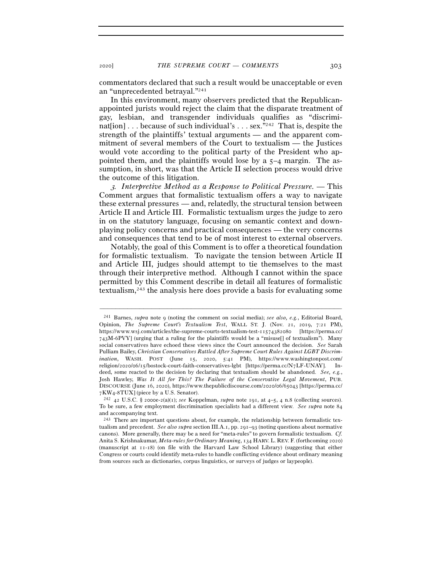commentators declared that such a result would be unacceptable or even an "unprecedented betrayal."241

In this environment, many observers predicted that the Republicanappointed jurists would reject the claim that the disparate treatment of gay, lesbian, and transgender individuals qualifies as "discriminaterian nation  $\cdots$  because of such individual's  $\cdots$  sex.<sup>"242</sup> That is, despite the strength of the plaintiffs' textual arguments — and the apparent commitment of several members of the Court to textualism — the Justices would vote according to the political party of the President who appointed them, and the plaintiffs would lose by a 5–4 margin. The assumption, in short, was that the Article II selection process would drive the outcome of this litigation.

<sup>3</sup>*. Interpretive Method as a Response to Political Pressure.* — This Comment argues that formalistic textualism offers a way to navigate these external pressures — and, relatedly, the structural tension between Article II and Article III. Formalistic textualism urges the judge to zero in on the statutory language, focusing on semantic context and downplaying policy concerns and practical consequences — the very concerns and consequences that tend to be of most interest to external observers.

Notably, the goal of this Comment is to offer a theoretical foundation for formalistic textualism. To navigate the tension between Article II and Article III, judges should attempt to tie themselves to the mast through their interpretive method. Although I cannot within the space permitted by this Comment describe in detail all features of formalistic textualism,243 the analysis here does provide a basis for evaluating some

<sup>241</sup> Barnes, *supra* note 9 (noting the comment on social media); *see also, e.g.*, Editorial Board, Opinion, *The Supreme Court's Textualism Test*, WALL ST. J. (Nov. 21, 2019, 7:21 PM), https://www.wsj.com/articles/the-supreme-courts-textualism-test-11574382080 [https://perma.cc/ 743M-6PVY] (urging that a ruling for the plaintiffs would be a "misuse[] of textualism"). Many social conservatives have echoed these views since the Court announced the decision. *See* Sarah Pulliam Bailey, *Christian Conservatives Rattled After Supreme Court Rules Against LGBT Discrimination*, WASH. POST (June 15, 2020, 5:41 PM), https://www.washingtonpost.com/ religion/2020/06/15/bostock-court-faith-conservatives-lgbt [https://perma.cc/N7LF-UNAY]. Indeed, some reacted to the decision by declaring that textualism should be abandoned. *See, e.g.*, Josh Hawley, *Was It All for This? The Failure of the Conservative Legal Movement*, PUB. DISCOURSE (June 16, 2020), https://www.thepublicdiscourse.com/2020/06/65043 [https://perma.cc/ <sup>7</sup>KW4-<sup>8</sup>TUX] (piece by a U.S. Senator). 242 <sup>42</sup> U.S.C. § 2000e-2(a)(1); *see* Koppelman, *supra* note 191, at 4–5, 4 n.8 (collecting sources).

To be sure, a few employment discrimination specialists had a different view. *See supra* note 84 and accompanying text.

<sup>243</sup> There are important questions about, for example, the relationship between formalistic textualism and precedent. *See also supra* section III.A.1, pp. 291–93 (noting questions about normative canons). More generally, there may be a need for "meta-rules" to govern formalistic textualism. *Cf.*  Anita S. Krishnakumar, *Meta-rules for Ordinary Meaning*, 134 HARV. L. REV. F. (forthcoming 2020) (manuscript at 11-18) (on file with the Harvard Law School Library) (suggesting that either Congress or courts could identify meta-rules to handle conflicting evidence about ordinary meaning from sources such as dictionaries, corpus linguistics, or surveys of judges or laypeople).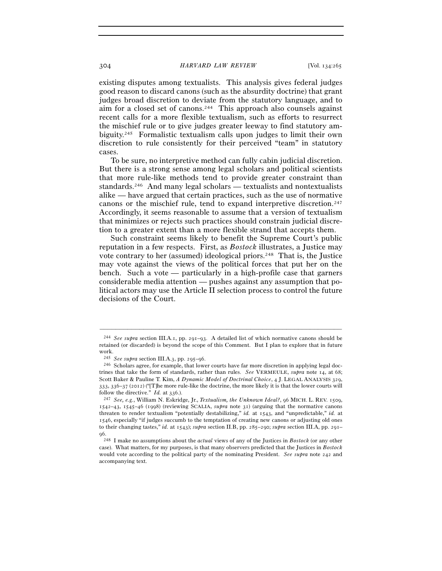existing disputes among textualists. This analysis gives federal judges good reason to discard canons (such as the absurdity doctrine) that grant judges broad discretion to deviate from the statutory language, and to aim for a closed set of canons.244 This approach also counsels against recent calls for a more flexible textualism, such as efforts to resurrect the mischief rule or to give judges greater leeway to find statutory ambiguity.245 Formalistic textualism calls upon judges to limit their own discretion to rule consistently for their perceived "team" in statutory cases.

To be sure, no interpretive method can fully cabin judicial discretion. But there is a strong sense among legal scholars and political scientists that more rule-like methods tend to provide greater constraint than standards.246 And many legal scholars — textualists and nontextualists alike — have argued that certain practices, such as the use of normative canons or the mischief rule, tend to expand interpretive discretion.247 Accordingly, it seems reasonable to assume that a version of textualism that minimizes or rejects such practices should constrain judicial discretion to a greater extent than a more flexible strand that accepts them.

Such constraint seems likely to benefit the Supreme Court's public reputation in a few respects. First, as *Bostock* illustrates, a Justice may vote contrary to her (assumed) ideological priors.<sup>248</sup> That is, the Justice may vote against the views of the political forces that put her on the bench. Such a vote — particularly in a high-profile case that garners considerable media attention — pushes against any assumption that political actors may use the Article II selection process to control the future decisions of the Court.

<sup>244</sup> *See supra* section III.A.1, pp. 291–93. A detailed list of which normative canons should be retained (or discarded) is beyond the scope of this Comment. But I plan to explore that in future work.<br> $\,$   $^{245}$   $\,$  $\,$  *295–96.* 

<sup>&</sup>lt;sup>246</sup> Scholars agree, for example, that lower courts have far more discretion in applying legal doctrines that take the form of standards, rather than rules. *See* VERMEULE, *supra* note 14, at 68; Scott Baker & Pauline T. Kim, *A Dynamic Model of Doctrinal Choice*, 4 J. LEGAL ANALYSIS 329, 333, 336–37 (2012) ("[T]he more rule-like the doctrine, the more likely it is that the lower courts will follow the directive." *Id.* at <sup>336</sup>.). 247 *See, e.g.*, William N. Eskridge, Jr., *Textualism, the Unknown Ideal?*, 96 MICH. L. REV. 1509,

<sup>1542</sup>–43, 1545–46 (1998) (reviewing SCALIA, *supra* note 31) (arguing that the normative canons threaten to render textualism "potentially destabilizing," *id.* at 1543, and "unpredictable," *id.* at 1546, especially "if judges succumb to the temptation of creating new canons or adjusting old ones to their changing tastes," *id.* at 1543); *supra* section II.B, pp. 285–290; *supra* section III.A, pp. 291– 96.

<sup>248</sup> I make no assumptions about the *actual* views of any of the Justices in *Bostock* (or any other case). What matters, for my purposes, is that many observers predicted that the Justices in *Bostock* would vote according to the political party of the nominating President. *See supra* note 242 and accompanying text.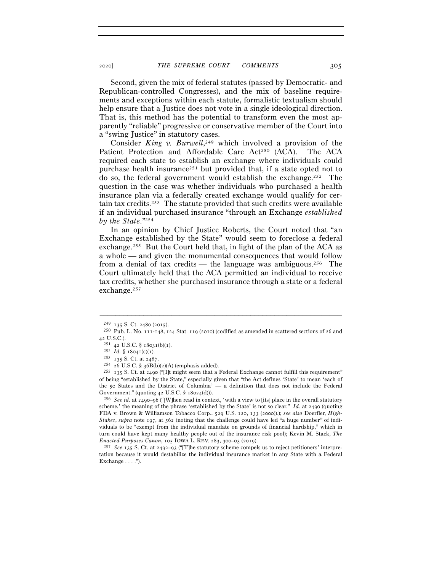Second, given the mix of federal statutes (passed by Democratic- and Republican-controlled Congresses), and the mix of baseline requirements and exceptions within each statute, formalistic textualism should help ensure that a Justice does not vote in a single ideological direction. That is, this method has the potential to transform even the most apparently "reliable" progressive or conservative member of the Court into a "swing Justice" in statutory cases.

Consider *King v. Burwell*, 249 which involved a provision of the Patient Protection and Affordable Care Act<sup>250</sup> (ACA). The ACA required each state to establish an exchange where individuals could purchase health insurance<sup>251</sup> but provided that, if a state opted not to do so, the federal government would establish the exchange.252 The question in the case was whether individuals who purchased a health insurance plan via a federally created exchange would qualify for certain tax credits.253 The statute provided that such credits were available if an individual purchased insurance "through an Exchange *established by the State*."254

In an opinion by Chief Justice Roberts, the Court noted that "an Exchange established by the State" would seem to foreclose a federal exchange.255 But the Court held that, in light of the plan of the ACA as a whole — and given the monumental consequences that would follow from a denial of tax credits — the language was ambiguous.<sup>256</sup> The Court ultimately held that the ACA permitted an individual to receive tax credits, whether she purchased insurance through a state or a federal exchange.257

–––––––––––––––––––––––––––––––––––––––––––––––––––––––––––––

scheme,' the meaning of the phrase 'established by the State' is not so clear." *Id.* at 2490 (quoting FDA v. Brown & Williamson Tobacco Corp., 529 U.S. 120, 133 (2000)).); *see also* Doerfler, *High-Stakes*, *supra* note 197, at 562 (noting that the challenge could have led "a huge number" of individuals to be "exempt from the individual mandate on grounds of financial hardship," which in turn could have kept many healthy people out of the insurance risk pool); Kevin M. Stack, *The Enacted Purposes Canon*, 105 IOWA L. REV. 283, 300–03 (2019).<br><sup>257</sup> *See* 135 S. Ct. at 2492–93 ("IT]he statutory scheme compels us to reject petitioners' interpre-

tation because it would destabilize the individual insurance market in any State with a Federal Exchange  $\dots$ .").

<sup>&</sup>lt;sup>249</sup> 135 S. Ct. 2480 (2015).<br><sup>250</sup> Pub. L. No. 111-148, 124 Stat. 119 (2010) (codified as amended in scattered sections of 26 and 42 U.S.C.).

<sup>&</sup>lt;sup>251</sup> 42 U.S.C. § 18031(b)(1).<br>
<sup>252</sup> *Id.* § 18041(c)(1).<br>
<sup>253</sup> 135 S. Ct. at 2487.<br>
<sup>254</sup> 26 U.S.C. § 36B(b)(2)(A) (emphasis added).<br>
<sup>254</sup> 26 U.S.C. § 36B(b)(2)(A) (emphasis added).<br>
<sup>255</sup> 135 S. Ct. at 2490 ("[I]t mi of being "established by the State," especially given that "the Act defines 'State' to mean 'each of the 50 States and the District of Columbia' — a definition that does not include the Federal Government." (quoting 42 U.S.C. § 18024(d))).<br><sup>256</sup> *See id.* at 2490–96 ("[W]hen read in context, 'with a view to [its] place in the overall statutory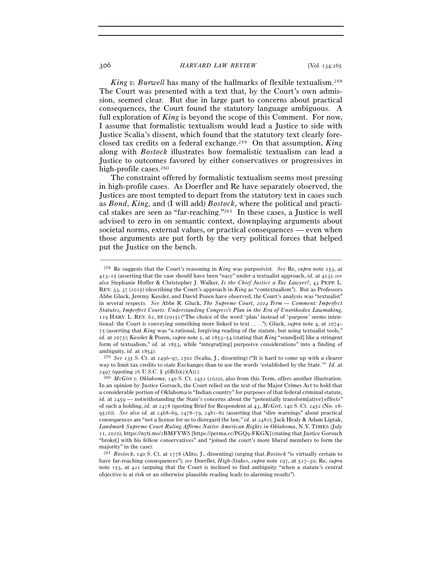306 *HARVARD LAW REVIEW* [Vol. 134:<sup>265</sup>

*King v. Burwell* has many of the hallmarks of flexible textualism.258 The Court was presented with a text that, by the Court's own admission, seemed clear. But due in large part to concerns about practical consequences, the Court found the statutory language ambiguous. A full exploration of *King* is beyond the scope of this Comment. For now, I assume that formalistic textualism would lead a Justice to side with Justice Scalia's dissent, which found that the statutory text clearly foreclosed tax credits on a federal exchange.259 On that assumption, *King* along with *Bostock* illustrates how formalistic textualism can lead a Justice to outcomes favored by either conservatives or progressives in high-profile cases.<sup>260</sup>

The constraint offered by formalistic textualism seems most pressing in high-profile cases. As Doerfler and Re have separately observed, the Justices are most tempted to depart from the statutory text in cases such as *Bond*, *King*, and (I will add) *Bostock*, where the political and practical stakes are seen as "far-reaching."261 In these cases, a Justice is well advised to zero in on semantic context, downplaying arguments about societal norms, external values, or practical consequences — even when those arguments are put forth by the very political forces that helped put the Justice on the bench.

<sup>258</sup> Re suggests that the Court's reasoning in *King* was purposivist. *See* Re, *supra* note 153, at 413–15 (asserting that the case should have been "easy" under a textualist approach, *id.* at 413); *see also* Stephanie Hoffer & Christopher J. Walker, *Is the Chief Justice a Tax Lawyer?*, 43 PEPP. L. REV. 33, 37 (2015) (describing the Court's approach in *King* as "contextualism"). But as Professors Abbe Gluck, Jeremy Kessler, and David Pozen have observed, the Court's analysis was "textualist" in several respects. *See* Abbe R. Gluck, *The Supreme Court,* 2014 *Term — Comment: Imperfect Statutes, Imperfect Courts: Understanding Congress's Plan in the Era of Unorthodox Lawmaking*, 129 HARV. L. REV. 62, 88 (2015) ("The choice of the word 'plan' instead of 'purpose' seems intentional: the Court is conveying something more linked to text . . . ."); Gluck, *supra* note 4, at 2074– 75 (asserting that *King* was "a rational, forgiving reading of the statute, but using textualist tools," *id.* at 2075); Kessler & Pozen, *supra* note 5, at 1853–54 (stating that *King* "sound[ed] like a stringent form of textualism," *id.* at 1853, while "integrat[ing] purposive considerations" into a finding of ambiguity, *id.* at 1854).

<sup>259</sup> *See* 135 S. Ct. at 2496–97, 2502 (Scalia, J., dissenting) ("It is hard to come up with a clearer way to limit tax credits to state Exchanges than to use the words 'established by the State.'" *Id.* at 2497 (quoting 26 U.S.C. § 36B(b)(2)(A)).).<br><sup>260</sup> *McGirt v. Oklahoma*, 140 S. Ct. 2452 (2020), also from this Term, offers another illustration.

In an opinion by Justice Gorsuch, the Court relied on the text of the Major Crimes Act to hold that a considerable portion of Oklahoma is "Indian country" for purposes of that federal criminal statute, *id.* at 2459 — notwithstanding the State's concerns about the "potentially transform[ative] effects" of such a holding, *id.* at 2478 (quoting Brief for Respondent at 43, *McGirt*, 140 S. Ct. 2452 (No. 18- 9526)). *See also id.* at 2468–69, 2478–79, 2481–82 (asserting that "dire warnings" about practical consequences are "not a license for us to disregard the law," *id.* at 2481); Jack Healy & Adam Liptak, *Landmark Supreme Court Ruling Affirms Native American Rights in Oklahoma*, N.Y. TIMES (July 11, 2020), https://nyti.ms/2BMFYWS [https://perma.cc/PGQ9-FKGX] (stating that Justice Gorsuch "broke[] with his fellow conservatives" and "joined the court's more liberal members to form the majority" in the case).

<sup>261</sup> *Bostock*, 140 S. Ct. at 1778 (Alito, J., dissenting) (urging that *Bostock* "is virtually certain to have far-reaching consequences"); *see* Doerfler, *High-Stakes*, *supra* note 197, at 527–30; Re, *supra* note 153, at 421 (arguing that the Court is inclined to find ambiguity "when a statute's central objective is at risk or an otherwise plausible reading leads to alarming results").